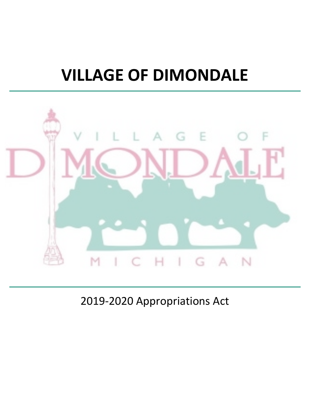## **VILLAGE OF DIMONDALE**



2019-2020 Appropriations Act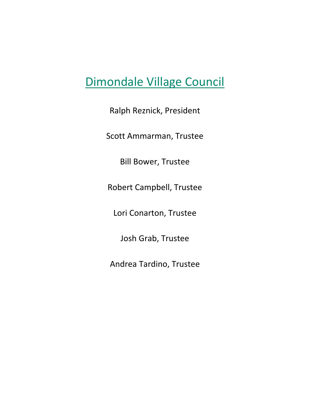### Dimondale Village Council

Ralph Reznick, President

Scott Ammarman, Trustee

Bill Bower, Trustee

Robert Campbell, Trustee

Lori Conarton, Trustee

Josh Grab, Trustee

Andrea Tardino, Trustee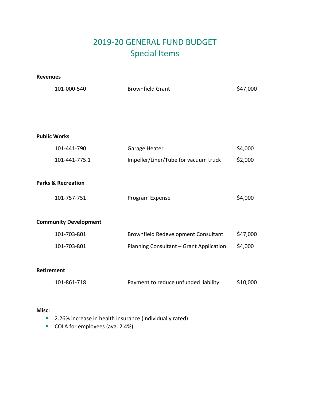### 2019-20 GENERAL FUND BUDGET Special Items

#### **Revenues**

| <b>Brownfield Grant</b>                                                                                                                                                                                              | \$47,000 |
|----------------------------------------------------------------------------------------------------------------------------------------------------------------------------------------------------------------------|----------|
|                                                                                                                                                                                                                      |          |
|                                                                                                                                                                                                                      |          |
| Garage Heater                                                                                                                                                                                                        | \$4,000  |
| Impeller/Liner/Tube for vacuum truck                                                                                                                                                                                 | \$2,000  |
|                                                                                                                                                                                                                      |          |
| Program Expense                                                                                                                                                                                                      | \$4,000  |
|                                                                                                                                                                                                                      |          |
| Brownfield Redevelopment Consultant                                                                                                                                                                                  | \$47,000 |
| Planning Consultant - Grant Application                                                                                                                                                                              | \$4,000  |
|                                                                                                                                                                                                                      |          |
| Payment to reduce unfunded liability                                                                                                                                                                                 | \$10,000 |
| 101-000-540<br><b>Public Works</b><br>101-441-790<br>101-441-775.1<br><b>Parks &amp; Recreation</b><br>101-757-751<br><b>Community Development</b><br>101-703-801<br>101-703-801<br><b>Retirement</b><br>101-861-718 |          |

#### **Misc:**

- **2.26% increase in health insurance (individually rated)**
- COLA for employees (avg. 2.4%)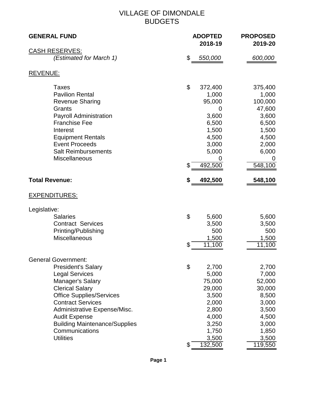#### VILLAGE OF DIMONDALE BUDGETS

| <b>GENERAL FUND</b>                                                                                                                                                                                                                                                                                   | <b>ADOPTED</b><br>2018-19                                                                                                | <b>PROPOSED</b><br>2019-20                                                                                   |
|-------------------------------------------------------------------------------------------------------------------------------------------------------------------------------------------------------------------------------------------------------------------------------------------------------|--------------------------------------------------------------------------------------------------------------------------|--------------------------------------------------------------------------------------------------------------|
| <b>CASH RESERVES:</b>                                                                                                                                                                                                                                                                                 |                                                                                                                          |                                                                                                              |
| (Estimated for March 1)                                                                                                                                                                                                                                                                               | \$<br>550,000                                                                                                            | 600,000                                                                                                      |
| <b>REVENUE:</b>                                                                                                                                                                                                                                                                                       |                                                                                                                          |                                                                                                              |
| <b>Taxes</b><br><b>Pavilion Rental</b><br><b>Revenue Sharing</b><br>Grants<br><b>Payroll Administration</b><br><b>Franchise Fee</b><br>Interest<br><b>Equipment Rentals</b><br><b>Event Proceeds</b><br><b>Salt Reimbursements</b><br><b>Miscellaneous</b>                                            | \$<br>372,400<br>1,000<br>95,000<br>0<br>3,600<br>6,500<br>1,500<br>4,500<br>3,000<br>5,000<br>\$<br>492,500             | 375,400<br>1,000<br>100,000<br>47,600<br>3,600<br>6,500<br>1,500<br>4,500<br>2,000<br>6,000<br>0<br>548,100  |
| <b>Total Revenue:</b>                                                                                                                                                                                                                                                                                 | \$<br>492,500                                                                                                            | 548,100                                                                                                      |
| <b>EXPENDITURES:</b>                                                                                                                                                                                                                                                                                  |                                                                                                                          |                                                                                                              |
| Legislative:<br><b>Salaries</b><br><b>Contract Services</b><br>Printing/Publishing<br>Miscellaneous                                                                                                                                                                                                   | \$<br>5,600<br>3,500<br>500<br>1,500<br>\$<br>11,100                                                                     | 5,600<br>3,500<br>500<br>1,500<br>11,100                                                                     |
| <b>General Government:</b>                                                                                                                                                                                                                                                                            |                                                                                                                          |                                                                                                              |
| <b>President's Salary</b><br><b>Legal Services</b><br>Manager's Salary<br><b>Clerical Salary</b><br><b>Office Supplies/Services</b><br><b>Contract Services</b><br>Administrative Expense/Misc.<br><b>Audit Expense</b><br><b>Building Maintenance/Supplies</b><br>Communications<br><b>Utilities</b> | \$<br>2,700<br>5,000<br>75,000<br>29,000<br>3,500<br>2,000<br>2,800<br>4,000<br>3,250<br>1,750<br>3,500<br>\$<br>132,500 | 2,700<br>7,000<br>52,000<br>30,000<br>8,500<br>3,000<br>3,500<br>4,500<br>3,000<br>1,850<br>3,500<br>119,550 |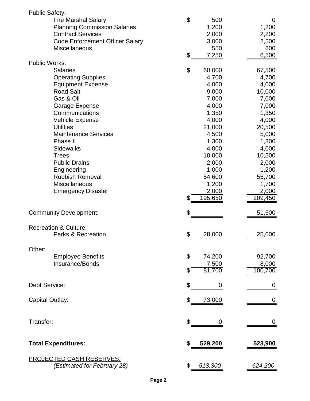| <b>Public Safety:</b> |                                         |                           |                 |                |
|-----------------------|-----------------------------------------|---------------------------|-----------------|----------------|
|                       | <b>Fire Marshal Salary</b>              | \$                        | 500             | 0              |
|                       | <b>Planning Commission Salaries</b>     |                           | 1,200           | 1,200          |
|                       | <b>Contract Services</b>                |                           | 2,000           | 2,200          |
|                       | <b>Code Enforcement Officer Salary</b>  |                           | 3,000           | 2,500          |
|                       | Miscellaneous                           |                           | 550             | 600            |
|                       |                                         | \$                        | 7,250           | 6,500          |
| <b>Public Works:</b>  |                                         |                           |                 |                |
|                       | <b>Salaries</b>                         | \$                        | 60,000          | 67,500         |
|                       | <b>Operating Supplies</b>               |                           | 4,700           | 4,700          |
|                       | <b>Equipment Expense</b>                |                           | 4,000           | 4,000          |
|                       | <b>Road Salt</b>                        |                           | 9,000           | 10,000         |
|                       | Gas & Oil                               |                           | 7,000           | 7,000          |
|                       | Garage Expense                          |                           | 4,000           | 7,000          |
|                       | Communications                          |                           | 1,350           | 1,350          |
|                       | <b>Vehicle Expense</b>                  |                           | 4,000           | 4,000          |
|                       | <b>Utilities</b>                        |                           | 21,000          | 20,500         |
|                       | <b>Maintenance Services</b><br>Phase II |                           | 4,500           | 5,000          |
|                       | <b>Sidewalks</b>                        |                           | 1,300           | 1,300          |
|                       | <b>Trees</b>                            |                           | 4,000           | 4,000          |
|                       | <b>Public Drains</b>                    |                           | 10,000<br>2,000 | 10,500         |
|                       | Engineering                             |                           | 1,000           | 2,000<br>1,200 |
|                       | <b>Rubbish Removal</b>                  |                           | 54,600          | 55,700         |
|                       | Miscellaneous                           |                           | 1,200           | 1,700          |
|                       | <b>Emergency Disaster</b>               |                           | 2,000           | 2,000          |
|                       |                                         | \$                        | 195,650         | 209,450        |
|                       |                                         |                           |                 |                |
|                       | <b>Community Development:</b>           | \$                        |                 | 51,600         |
|                       | <b>Recreation &amp; Culture:</b>        |                           |                 |                |
|                       | Parks & Recreation                      | \$                        |                 |                |
|                       |                                         |                           | 28,000          | 25,000         |
| Other:                |                                         |                           |                 |                |
|                       | <b>Employee Benefits</b>                | $\boldsymbol{\mathsf{S}}$ | 74,200          | 92,700         |
|                       | Insurance/Bonds                         |                           | 7,500           | 8,000          |
|                       |                                         | \$                        | 81,700          | 100,700        |
|                       |                                         |                           |                 |                |
| Debt Service:         |                                         | \$                        | 0               | 0              |
|                       |                                         |                           |                 |                |
| Capital Outlay:       |                                         | \$                        | 73,000          | 0              |
| Transfer:             |                                         | \$                        | 0               | 0              |
|                       |                                         |                           |                 |                |
|                       | <b>Total Expenditures:</b>              | \$                        | 529,200         | 523,900        |
|                       |                                         |                           |                 |                |
|                       | <b>PROJECTED CASH RESERVES:</b>         |                           |                 |                |
|                       | (Estimated for February 28)             | \$                        | 513,300         | 624,200        |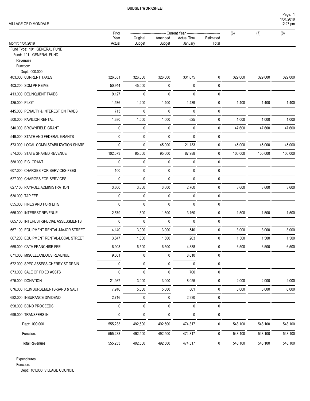#### VILLAGE OF DIMONDALE

|                                                                                                      | Prior                       |               |                    | Current Year - |       | (6)     | (7)     | (8)     |
|------------------------------------------------------------------------------------------------------|-----------------------------|---------------|--------------------|----------------|-------|---------|---------|---------|
|                                                                                                      | Year<br>Original<br>Amended |               | <b>Actual Thru</b> | Estimated      |       |         |         |         |
| Month: 1/31/2019<br>Fund Type: 101 GENERAL FUND<br>Fund: 101 - GENERAL FUND<br>Revenues<br>Function: | Actual                      | <b>Budget</b> | <b>Budget</b>      | January        | Total |         |         |         |
| Dept: 000.000<br>403.000 CURRENT TAXES                                                               | 326,381                     | 326,000       | 326,000            | 331,075        | 0     | 329,000 | 329,000 | 329,000 |
| 403.200 SOM PP REIMB                                                                                 | 50,944                      | 45,000        | 0                  | 0              | 0     |         |         |         |
| 413.000 DELINQUENT TAXES                                                                             | 9,127                       | $\mathbf{0}$  | $\pmb{0}$          | 0              | 0     |         |         |         |
| 425.000 PILOT                                                                                        | 1,576                       | 1,400         | 1,400              | 1,439          | 0     | 1,400   | 1,400   | 1,400   |
| 445.000 PENALTY & INTEREST ON TAXES                                                                  | 713                         | $\mathbf{0}$  | 0                  | 0              | 0     |         |         |         |
| 500.000 PAVILION RENTAL                                                                              | 1,380                       | 1,000         | 1,000              | 625            | 0     | 1,000   | 1,000   | 1,000   |
| 540.000 BROWNFIELD GRANT                                                                             | 0                           | 0             | 0                  | 0              | 0     | 47,600  | 47,600  | 47,600  |
| 549.000 STATE AND FEDERAL GRANTS                                                                     | 0                           | $\pmb{0}$     | $\pmb{0}$          | 0              | 0     |         |         |         |
| 573.000 LOCAL COMM STABILIZATION SHARE                                                               | 0                           | $\mathbf{0}$  | 45,000             | 21,133         | 0     | 45,000  | 45,000  | 45,000  |
| 574.000 STATE SHARED REVENUE                                                                         | 102,073                     | 95,000        | 95,000             | 87,988         | 0     | 100,000 | 100,000 | 100,000 |
| 588.000 E.C. GRANT                                                                                   | 0                           | 0             | 0                  | 0              | 0     |         |         |         |
| 607.000 CHARGES FOR SERVICES-FEES                                                                    | 100                         | $\mathbf{0}$  | 0                  | 0              | 0     |         |         |         |
| 627.000 CHARGES FOR SERVICES                                                                         | $\mathbf 0$                 | $\mathbf{0}$  | $\mathbf 0$        | 0              | 0     |         |         |         |
| 627.100 PAYROLL ADMINISTRATION                                                                       | 3,600                       | 3,600         | 3,600              | 2,700          | 0     | 3,600   | 3,600   | 3,600   |
| 630.000 TAP FEE                                                                                      | 0                           | 0             | 0                  | 0              | 0     |         |         |         |
| 655.000 FINES AND FORFEITS                                                                           | 0                           | $\mathbf{0}$  | 0                  | 0              | 0     |         |         |         |
| 665.000 INTEREST REVENUE                                                                             | 2,579                       | 1,500         | 1,500              | 3,160          | 0     | 1,500   | 1,500   | 1,500   |
| 665.100 INTEREST-SPECIAL ASSESSMENTS                                                                 | 0                           | $\mathbf{0}$  | 0                  | 0              | 0     |         |         |         |
| 667.100 EQUIPMENT RENTAL-MAJOR STREET                                                                | 4,140                       | 3,000         | 3,000              | 540            | 0     | 3,000   | 3,000   | 3,000   |
| 667.200 EQUIPMENT RENTAL-LOCAL STREET                                                                | 3,847                       | 1,500         | 1,500              | 263            | 0     | 1,500   | 1,500   | 1,500   |
| 669.000 CATV FRANCHISE FEE                                                                           | 6,903                       | 6,500         | 6,500              | 4,838          | 0     | 6,500   | 6,500   | 6,500   |
| 671.000 MISCELLANEOUS REVENUE                                                                        | 9,301                       | 0             | 0                  | 8,010          | 0     |         |         |         |
| 672.000 SPEC ASSESS-CHERRY ST DRAIN                                                                  | 0                           | 0             | 0                  | 0              | 0     |         |         |         |
| 673.000 SALE OF FIXED ASSTS                                                                          | 0                           | 0             | 0                  | 700            | 0     |         |         |         |
| 675.000 DONATION                                                                                     | 21,937                      | 3,000         | 3,000              | 8,055          | 0     | 2,000   | 2,000   | 2,000   |
| 676.000 REIMBURSEMENTS-SAND & SALT                                                                   | 7,916                       | 5,000         | 5,000              | 861            | 0     | 6,000   | 6,000   | 6,000   |
| 682.000 INSURANCE DIVIDEND                                                                           | 2,716                       | $\mathbf 0$   | 0                  | 2,930          | 0     |         |         |         |
| 698.000 BOND PROCEEDS                                                                                | 0                           | 0             | 0                  | 0              | 0     |         |         |         |
| 699.000 TRANSFERS IN                                                                                 | 0                           | 0             | 0                  | 0              | 0     |         |         |         |
| Dept: 000.000                                                                                        | 555,233                     | 492,500       | 492,500            | 474,317        | 0     | 548,100 | 548,100 | 548,100 |
| Function:                                                                                            | 555,233                     | 492,500       | 492,500            | 474,317        | 0     | 548,100 | 548,100 | 548,100 |
| <b>Total Revenues</b>                                                                                | 555,233                     | 492,500       | 492,500            | 474,317        | 0     | 548,100 | 548,100 | 548,100 |

Expenditures

Function:

Dept: 101.000 VILLAGE COUNCIL

1/31/2019 Page: 1

12:27 pm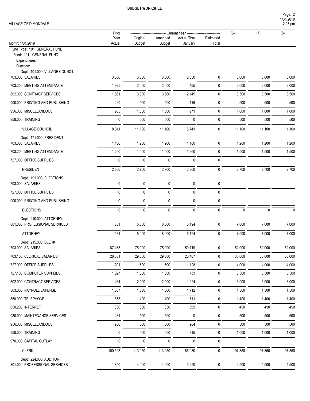#### VILLAGE OF DIMONDALE

|                                                                                                                       | Prior          |                           | Current Year -           |                               |                    | (6)          | (7)    | (8)          |
|-----------------------------------------------------------------------------------------------------------------------|----------------|---------------------------|--------------------------|-------------------------------|--------------------|--------------|--------|--------------|
| Month: 1/31/2019                                                                                                      | Year<br>Actual | Original<br><b>Budget</b> | Amended<br><b>Budget</b> | <b>Actual Thru</b><br>January | Estimated<br>Total |              |        |              |
| Fund Type: 101 GENERAL FUND<br>Fund: 101 - GENERAL FUND<br>Expenditures<br>Function:<br>Dept: 101.000 VILLAGE COUNCIL |                |                           |                          |                               |                    |              |        |              |
| 703.000 SALARIES                                                                                                      | 3,300          | 3,600                     | 3,600                    | 2,050                         | 0                  | 3,600        | 3,600  | 3,600        |
| 703.200 MEETING ATTENDANCE                                                                                            | 1,925          | 2,000                     | 2,000                    | 455                           | 0                  | 2,000        | 2,000  | 2,000        |
| 802.000 CONTRACT SERVICES                                                                                             | 1,661          | 3,500                     | 3,500                    | 2,149                         | 0                  | 3,500        | 3,500  | 3,500        |
| 900.000 PRINTING AND PUBLISHING                                                                                       | 220            | 500                       | 500                      | 116                           | $\mathbf 0$        | 500          | 500    | 500          |
| 956.000 MISCELLANEOUS                                                                                                 | 905            | 1,000                     | 1,000                    | 971                           | $\mathbf 0$        | 1,000        | 1,000  | 1,000        |
| 958.000 TRAINING                                                                                                      | $\pmb{0}$      | 500                       | 500                      | $\mathbf{0}$                  | 0                  | 500          | 500    | 500          |
| VILLAGE COUNCIL                                                                                                       | 8,011          | 11,100                    | 11,100                   | 5,741                         | $\pmb{0}$          | 11,100       | 11,100 | 11,100       |
| Dept: 171.000 PRESIDENT<br>703.000 SALARIES                                                                           | 1,100          | 1,200                     | 1,200                    | 1,100                         | 0                  | 1,200        | 1,200  | 1,200        |
| 703.200 MEETING ATTENDANCE                                                                                            | 1,260          | 1,500                     | 1,500                    | 1,260                         | 0                  | 1,500        | 1,500  | 1,500        |
| 727,000 OFFICE SUPPLIES                                                                                               | $\pmb{0}$      | $\pmb{0}$                 | $\pmb{0}$                | $\pmb{0}$                     | $\mathbf 0$        |              |        |              |
| PRESIDENT                                                                                                             | 2,360          | 2,700                     | 2,700                    | 2,360                         | $\mathbf 0$        | 2,700        | 2,700  | 2,700        |
| Dept: 191.000 ELECTIONS<br>703.000 SALARIES                                                                           | 0              | $\pmb{0}$                 | 0                        | 0                             | 0                  |              |        |              |
| 727.000 OFFICE SUPPLIES                                                                                               | $\pmb{0}$      | $\pmb{0}$                 | 0                        | 0                             | $\mathbf 0$        |              |        |              |
| 900.000 PRINTING AND PUBLISHING                                                                                       | $\mathbf{0}$   | 0                         | 0                        | $\mathbf{0}$                  | 0                  |              |        |              |
| <b>ELECTIONS</b>                                                                                                      | $\mathbf 0$    | $\mathbf 0$               | $\mathbf 0$              | $\mathbf 0$                   | $\mathbf 0$        | $\mathbf{0}$ | 0      | $\mathbf{0}$ |
| Dept: 210.000 ATTORNEY<br>801.000 PROFESSIONAL SERVICES                                                               | 581            | 5,000                     | 8,000                    | 6,194                         | 0                  | 7,000        | 7,000  | 7,000        |
| <b>ATTORNEY</b>                                                                                                       | 581            | 5,000                     | 8,000                    | 6,194                         | $\mathbf 0$        | 7,000        | 7,000  | 7,000        |
| Dept: 215.000 CLERK<br>703.000 SALARIES                                                                               | 67,463         | 75,000                    | 75,000                   | 59,119                        | 0                  | 52,000       | 52,000 | 52,000       |
| 703.100 CLERICAL SALARIES                                                                                             | 26,381         | 29,000                    | 29,000                   | 20,407                        | 0                  | 30,000       | 30,000 | 30,000       |
| 727.000 OFFICE SUPPLIES                                                                                               | 1,201          | 1,500                     | 1,500                    | 1,128                         | $\pmb{0}$          | 4,000        | 4,000  | 4,000        |
| 727.100 COMPUTER SUPPLIES                                                                                             | 1,027          | 1,000                     | 1,000                    | 731                           | 0                  | 3,500        | 3,500  | 3,500        |
| 802.000 CONTRACT SERVICES                                                                                             | 1,464          | 2,000                     | 2,000                    | 1,224                         | $\pmb{0}$          | 3,000        | 3,000  | 3,000        |
| 803.000 PAYROLL EXPENSE                                                                                               | 1,087          | 1,300                     | 1,300                    | 1,712                         | $\pmb{0}$          | 1,500        | 1,500  | 1,500        |
| 850.000 TELEPHONE                                                                                                     | 858            | 1,400                     | 1,400                    | 711                           | 0                  | 1,400        | 1,400  | 1,400        |
| 850.200 INTERNET                                                                                                      | 350            | 350                       | 350                      | 399                           | 0                  | 450          | 450    | 450          |
| 930.000 MAINTENANCE SERVICES                                                                                          | 481            | 500                       | 500                      | 0                             | 0                  | 500          | 500    | 500          |
| 956.000 MISCELLANEOUS                                                                                                 | 286            | 500                       | 500                      | 284                           | $\pmb{0}$          | 500          | 500    | 500          |
| 958.000 TRAINING                                                                                                      | $\pmb{0}$      | 500                       | 500                      | 315                           | 0                  | 1,000        | 1,000  | 1,000        |
| 970.000 CAPITAL OUTLAY                                                                                                | $\pmb{0}$      | 0                         | 0                        | 0                             | 0                  |              |        |              |
| <b>CLERK</b>                                                                                                          | 100,598        | 113,050                   | 113,050                  | 86,030                        | $\pmb{0}$          | 97,850       | 97,850 | 97,850       |
| Dept: 224.000 AUDITOR<br>801.000 PROFESSIONAL SERVICES                                                                | 1,850          | 4,000                     | 4,000                    | 3,250                         | 0                  | 4,500        | 4,500  | 4,500        |

1/31/2019 Page: 2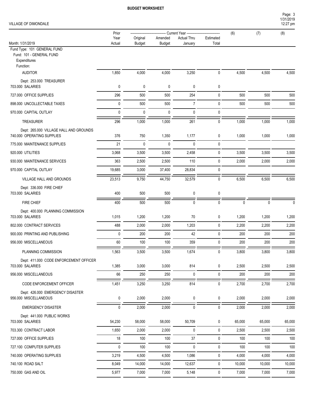#### VILLAGE OF DIMONDALE

| VILLAGE OF DIMONDALE                                                                 |               |               |               |                                               |                  |              |              | 12:27 pm     |
|--------------------------------------------------------------------------------------|---------------|---------------|---------------|-----------------------------------------------|------------------|--------------|--------------|--------------|
|                                                                                      | Prior<br>Year | Original      | Amended       | Current Year ----------<br><b>Actual Thru</b> | Estimated        | (6)          | (7)          | (8)          |
| Month: 1/31/2019                                                                     | Actual        | <b>Budget</b> | <b>Budget</b> | January                                       | Total            |              |              |              |
| Fund Type: 101 GENERAL FUND<br>Fund: 101 - GENERAL FUND<br>Expenditures<br>Function: |               |               |               |                                               |                  |              |              |              |
| <b>AUDITOR</b>                                                                       | 1,850         | 4,000         | 4,000         | 3,250                                         | 0                | 4,500        | 4,500        | 4,500        |
| Dept: 253.000 TREASURER<br>703.000 SALARIES                                          | 0             | 0             | 0             | 0                                             | 0                |              |              |              |
| 727.000 OFFICE SUPPLIES                                                              | 296           | 500           | 500           | 254                                           | $\mathbf 0$      | 500          | 500          | 500          |
| 898.000 UNCOLLECTABLE TAXES                                                          | 0             | 500           | 500           | $\overline{7}$                                | 0                | 500          | 500          | 500          |
| 970.000 CAPITAL OUTLAY                                                               | 0             | 0             | 0             | 0                                             | 0                |              |              |              |
| <b>TREASURER</b>                                                                     | 296           | 1,000         | 1,000         | 261                                           | 0                | 1,000        | 1,000        | 1,000        |
| Dept: 265.000 VILLAGE HALL AND GROUNDS<br>740.000 OPERATING SUPPLIES                 | 376           | 750           | 1,350         | 1,177                                         | 0                | 1,000        | 1,000        | 1,000        |
| 775.000 MAINTENANCE SUPPLIES                                                         | 21            | 0             | 0             | $\mathbf 0$                                   | 0                |              |              |              |
| 920.000 UTILITIES                                                                    | 3,068         | 3,500         | 3,500         | 2,458                                         | 0                | 3,500        | 3,500        | 3,500        |
| 930.000 MAINTENANCE SERVICES                                                         | 363           | 2,500         | 2,500         | 110                                           | $\mathbf 0$      | 2,000        | 2,000        | 2,000        |
| 970.000 CAPITAL OUTLAY                                                               | 19,685        | 3,000         | 37,400        | 28,834                                        | 0                |              |              |              |
| VILLAGE HALL AND GROUNDS                                                             | 23,513        | 9,750         | 44,750        | 32,579                                        | 0                | 6,500        | 6,500        | 6,500        |
| Dept: 336.000 FIRE CHIEF<br>703.000 SALARIES                                         | 400           | 500           | 500           | 0                                             | 0                |              |              |              |
| FIRE CHIEF                                                                           | 400           | 500           | 500           | 0                                             | 0                | 0            | $\mathbf{0}$ | $\Omega$     |
| Dept: 400.000 PLANNING COMMISSION                                                    |               |               |               |                                               |                  |              |              |              |
| 703.000 SALARIES                                                                     | 1,015         | 1,200         | 1,200         | 70                                            | 0                | 1,200        | 1,200        | 1,200        |
| 802.000 CONTRACT SERVICES                                                            | 488           | 2,000         | 2,000         | 1,203                                         | 0                | 2,200        | 2,200        | 2,200        |
| 900.000 PRINTING AND PUBLISHING                                                      | 0             | 200           | 200           | 42                                            | 0                | 200          | 200          | 200          |
| 956.000 MISCELLANEOUS                                                                | 60            | 100           | 100           | 359                                           | 0                | 200          | 200          | 200          |
| PLANNING COMMISSION                                                                  | 1,563         | 3,500         | 3,500         | 1,674                                         | $\pmb{0}$        | 3,800        | 3,800        | 3,800        |
| Dept: 411.000 CODE ENFORCEMENT OFFICER<br>703.000 SALARIES                           |               |               |               | 814                                           |                  |              |              |              |
| 956.000 MISCELLANEOUS                                                                | 1,385<br>66   | 3,000<br>250  | 3,000<br>250  | $\pmb{0}$                                     | 0<br>$\mathbf 0$ | 2,500<br>200 | 2,500<br>200 | 2,500<br>200 |
|                                                                                      |               |               |               |                                               |                  |              |              |              |
| CODE ENFORCEMENT OFFICER                                                             | 1,451         | 3,250         | 3,250         | 814                                           | 0                | 2,700        | 2,700        | 2,700        |
| Dept: 426.000 EMERGENCY DISASTER<br>956.000 MISCELLANEOUS                            | 0             | 2,000         | 2,000         | 0                                             | $\pmb{0}$        | 2,000        | 2,000        | 2,000        |
| <b>EMERGENCY DISASTER</b>                                                            | 0             | 2,000         | 2,000         | $\mathbf 0$                                   | 0                | 2,000        | 2,000        | 2,000        |
| Dept: 441.000 PUBLIC WORKS<br>703.000 SALARIES                                       | 54,230        | 58,000        | 58,000        | 50,709                                        | 0                | 65,000       | 65,000       | 65,000       |
| 703.300 CONTRACT LABOR                                                               | 1,650         | 2,000         | 2,000         | 0                                             | 0                | 2,500        | 2,500        | 2,500        |
| 727.000 OFFICE SUPPLIES                                                              | $18$          | 100           | 100           | $37\,$                                        | 0                | 100          | 100          | 100          |
| 727.100 COMPUTER SUPPLIES                                                            | 0             | 100           | 100           | 0                                             | 0                | 100          | 100          | 100          |
| 740.000 OPERATING SUPPLIES                                                           | 3,219         | 4,500         | 4,500         | 1,086                                         | 0                | 4,000        | 4,000        | 4,000        |
| 740.100 ROAD SALT                                                                    | 8,049         | 14,000        | 14,000        | 12,637                                        | 0                | 10,000       | 10,000       | 10,000       |
| 750.000 GAS AND OIL                                                                  | 5,977         | 7,000         | 7,000         | 5,148                                         | $\pmb{0}$        | 7,000        | 7,000        | 7,000        |

1/31/2019 Page: 3

÷.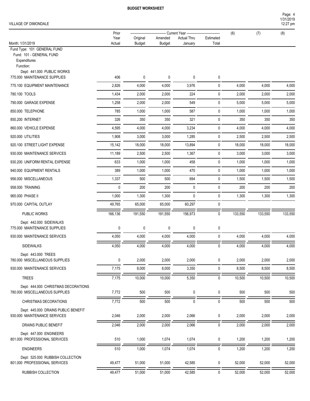1/31/2019 Page: 4

12:27 pm

#### VILLAGE OF DIMONDALE

|                                                                       | Prior       |               |               | - Current Year -------- |             | (6)     | (7)     | (8)     |
|-----------------------------------------------------------------------|-------------|---------------|---------------|-------------------------|-------------|---------|---------|---------|
|                                                                       | Year        | Original      | Amended       | <b>Actual Thru</b>      | Estimated   |         |         |         |
| Month: 1/31/2019<br>Fund Type: 101 GENERAL FUND                       | Actual      | <b>Budget</b> | <b>Budget</b> | January                 | Total       |         |         |         |
| Fund: 101 - GENERAL FUND<br>Expenditures<br>Function:                 |             |               |               |                         |             |         |         |         |
| Dept: 441.000 PUBLIC WORKS<br>775.000 MAINTENANCE SUPPLIES            | 406         | 0             | 0             | 0                       | 0           |         |         |         |
| 775.100 EQUIPMENT MAINTENANCE                                         | 2,826       | 4,000         | 4,000         | 3,976                   | 0           | 4,000   | 4,000   | 4,000   |
| 780.100 TOOLS                                                         | 1,434       | 2,000         | 2,000         | 224                     | 0           | 2,000   | 2,000   | 2,000   |
| 790.000 GARAGE EXPENSE                                                | 1,258       | 2,000         | 2,000         | 549                     | $\mathbf 0$ | 5,000   | 5,000   | 5,000   |
| 850.000 TELEPHONE                                                     | 785         | 1,000         | 1,000         | 587                     | 0           | 1,000   | 1,000   | 1,000   |
| 850.200 INTERNET                                                      | 326         | 350           | 350           | 321                     | $\mathbf 0$ | 350     | 350     | 350     |
| 860.000 VEHICLE EXPENSE                                               | 4,595       | 4,000         | 4,000         | 3,234                   | 0           | 4,000   | 4,000   | 4,000   |
| 920.000 UTILITIES                                                     | 1,908       | 3,000         | 3,000         | 1,285                   | 0           | 2,500   | 2,500   | 2,500   |
| 920.100 STREET LIGHT EXPENSE                                          | 15,142      | 18,000        | 18,000        | 13,894                  | $\mathbf 0$ | 18,000  | 18,000  | 18,000  |
| 930.000 MAINTENANCE SERVICES                                          | 11,189      | 2,500         | 2,500         | 1,367                   | 0           | 3,000   | 3,000   | 3,000   |
| 930.200 UNIFORM RENTAL EXPENSE                                        | 633         | 1,000         | 1,000         | 458                     | 0           | 1,000   | 1,000   | 1,000   |
| 940.000 EQUIPMENT RENTALS                                             | 389         | 1,000         | 1,000         | 470                     | $\mathbf 0$ | 1,000   | 1,000   | 1,000   |
| 956.000 MISCELLANEOUS                                                 | 1,337       | 500           | 500           | 694                     | 0           | 1,500   | 1,500   | 1,500   |
| 958.000 TRAINING                                                      | $\mathbf 0$ | 200           | 200           | $\pmb{0}$               | 0           | 200     | 200     | 200     |
| 965.000 PHASE II                                                      | 1,000       | 1,300         | 1,300         | $\mathbf 0$             | 0           | 1,300   | 1,300   | 1,300   |
| 970.000 CAPITAL OUTLAY                                                | 49,765      | 65,000        | 65,000        | 60,297                  | 0           |         |         |         |
| PUBLIC WORKS                                                          | 166,136     | 191,550       | 191,550       | 156,973                 | 0           | 133,550 | 133,550 | 133,550 |
| Dept: 442.000 SIDEWALKS<br>775.000 MAINTENANCE SUPPLIES               | 0           | 0             | 0             | 0                       | 0           |         |         |         |
| 930.000 MAINTENANCE SERVICES                                          | 4,050       | 4,000         | 4,000         | 4,000                   | 0           | 4,000   | 4,000   | 4,000   |
| <b>SIDEWALKS</b>                                                      | 4,050       | 4,000         | 4,000         | 4,000                   | 0           | 4,000   | 4,000   | 4,000   |
| Dept: 443.000 TREES<br>780.000 MISCELLANEOUS SUPPLIES                 | 0           | 2,000         | 2,000         | 2,000                   | 0           | 2,000   | 2,000   | 2,000   |
| 930.000 MAINTENANCE SERVICES                                          | 7,175       | 8,000         | 8,000         | 3,350                   | 0           | 8,500   | 8,500   | 8,500   |
| <b>TREES</b>                                                          | 7,175       | 10,000        | 10,000        | 5,350                   | 0           | 10,500  | 10,500  | 10,500  |
| Dept: 444.000 CHRISTMAS DECORATIONS<br>780.000 MISCELLANEOUS SUPPLIES | 7,772       | 500           | 500           | 0                       | 0           | 500     | 500     | 500     |
| CHRISTMAS DECORATIONS                                                 | 7,772       | 500           | 500           | $\pmb{0}$               | 0           | 500     | 500     | 500     |
| Dept: 445.000 DRAINS PUBLIC BENEFIT<br>930.000 MAINTENANCE SERVICES   | 2,046       | 2,000         | 2,000         | 2,066                   | 0           | 2,000   | 2,000   | 2,000   |
|                                                                       |             |               |               |                         |             |         |         |         |
| DRAINS PUBLIC BENEFIT                                                 | 2,046       | 2,000         | 2,000         | 2,066                   | 0           | 2,000   | 2,000   | 2,000   |
| Dept: 447.000 ENGINEERS<br>801.000 PROFESSIONAL SERVICES              | 510         | 1,000         | 1,074         | 1,074                   | 0           | 1,200   | 1,200   | 1,200   |
| <b>ENGINEERS</b>                                                      | 510         | 1,000         | 1,074         | 1,074                   | 0           | 1,200   | 1,200   | 1,200   |
| Dept: 525.000 RUBBISH COLLECTION<br>801.000 PROFESSIONAL SERVICES     | 49,477      | 51,000        | 51,000        | 42,585                  | 0           | 52,000  | 52,000  | 52,000  |
| RUBBISH COLLECTION                                                    | 49,477      | 51,000        | 51,000        | 42,585                  | 0           | 52,000  | 52,000  | 52,000  |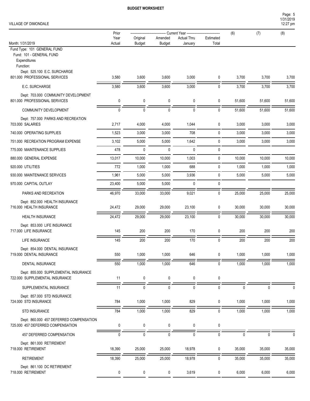Page: 5

#### VILLAGE

| VILLAGE OF DIMONDALE                                                                                                 |                |                           |                          |                               |                    |              |        | 1/31/2019<br>12:27 pm |
|----------------------------------------------------------------------------------------------------------------------|----------------|---------------------------|--------------------------|-------------------------------|--------------------|--------------|--------|-----------------------|
|                                                                                                                      | Prior          |                           |                          | -- Current Year ----------    |                    | (6)          | (7)    | (8)                   |
| Month: 1/31/2019                                                                                                     | Year<br>Actual | Original<br><b>Budget</b> | Amended<br><b>Budget</b> | <b>Actual Thru</b><br>January | Estimated<br>Total |              |        |                       |
| Fund Type: 101 GENERAL FUND<br>Fund: 101 - GENERAL FUND<br>Expenditures<br>Function:<br>Dept: 525.100 E.C. SURCHARGE |                |                           |                          |                               |                    |              |        |                       |
| 801.000 PROFESSIONAL SERVICES                                                                                        | 3,580          | 3,600                     | 3,600                    | 3,000                         | 0                  | 3,700        | 3,700  | 3,700                 |
| E.C. SURCHARGE                                                                                                       | 3,580          | 3,600                     | 3,600                    | 3,000                         | $\pmb{0}$          | 3,700        | 3,700  | 3,700                 |
| Dept: 703.000 COMMUNITY DEVELOPMENT<br>801.000 PROFESSIONAL SERVICES                                                 | 0              | 0                         | 0                        | 0                             | 0                  | 51,600       | 51,600 | 51,600                |
| COMMUNITY DEVELOPMENT                                                                                                | $\pmb{0}$      | $\mathbf 0$               | $\mathbf 0$              | $\mathbf 0$                   | $\pmb{0}$          | 51,600       | 51,600 | 51,600                |
| Dept: 757.000 PARKS AND RECREATION<br>703.000 SALARIES                                                               | 2,717          | 4,000                     | 4,000                    | 1,044                         | 0                  | 3,000        | 3,000  | 3,000                 |
| 740.000 OPERATING SUPPLIES                                                                                           | 1,523          | 3,000                     | 3,000                    | 708                           | $\mathbf 0$        | 3,000        | 3,000  | 3,000                 |
| 751,000 RECREATION PROGRAM EXPENSE                                                                                   | 3,102          | 5,000                     | 5,000                    | 1,642                         | 0                  | 3,000        | 3,000  | 3,000                 |
| 775.000 MAINTENANCE SUPPLIES                                                                                         | 478            | 0                         | $\pmb{0}$                | 0                             | 0                  |              |        |                       |
| 880.000 GENERAL EXPENSE                                                                                              | 13,017         | 10,000                    | 10,000                   | 1,003                         | $\mathbf 0$        | 10,000       | 10,000 | 10,000                |
| 920.000 UTILITIES                                                                                                    | 772            | 1,000                     | 1,000                    | 688                           | 0                  | 1,000        | 1,000  | 1,000                 |
| 930.000 MAINTENANCE SERVICES                                                                                         | 1,961          | 5,000                     | 5,000                    | 3,936                         | $\pmb{0}$          | 5,000        | 5,000  | 5,000                 |
| 970.000 CAPITAL OUTLAY                                                                                               | 23,400         | 5,000                     | 5,000                    | $\mathbf{0}$                  | 0                  |              |        |                       |
| PARKS AND RECREATION                                                                                                 | 46,970         | 33,000                    | 33,000                   | 9,021                         | $\pmb{0}$          | 25,000       | 25,000 | 25,000                |
| Dept: 852.000 HEALTH INSURANCE<br>716.000 HEALTH INSURANCE                                                           | 24,472         | 29,000                    | 29,000                   | 23,100                        | $\pmb{0}$          | 30,000       | 30,000 | 30,000                |
| HEALTH INSURANCE                                                                                                     | 24,472         | 29,000                    | 29,000                   | 23,100                        | 0                  | 30,000       | 30,000 | 30,000                |
| Dept: 853.000 LIFE INSURANCE<br>717.000 LIFE INSURANCE                                                               | 145            | 200                       | 200                      | 170                           | 0                  | 200          | 200    | 200                   |
| LIFE INSURANCE                                                                                                       | 145            | 200                       | 200                      | 170                           | 0                  | 200          | 200    | 200                   |
| Dept: 854.000 DENTAL INSURANCE<br>719.000 DENTAL INSURANCE                                                           | 550            | 1,000                     | 1,000                    | 646                           | 0                  | 1,000        | 1,000  | 1,000                 |
| DENTAL INSURANCE                                                                                                     | 550            | 1,000                     | 1,000                    | 646                           | $\mathbf 0$        | 1,000        | 1,000  | 1,000                 |
| Dept: 855.000 SUPPLEMENTAL INSURANCE<br>722.000 SUPPLEMENTAL INSURANCE                                               | 11             | 0                         | 0                        | $\mathbf 0$                   | $\pmb{0}$          |              |        |                       |
| SUPPLEMENTAL INSURANCE                                                                                               | 11             | 0                         | $\pmb{0}$                | 0                             | 0                  | $\mathbf{0}$ | 0      |                       |
| Dept: 857.000 STD INSURANCE<br>724.000 STD INSURANCE                                                                 | 784            | 1,000                     | 1,000                    | 829                           | $\boldsymbol{0}$   | 1,000        | 1,000  | 1,000                 |
| STD INSURANCE                                                                                                        | 784            | 1,000                     | 1,000                    | 829                           | 0                  | 1,000        | 1,000  | 1,000                 |
| Dept: 860.000 457 DEFERRED COMPENSATION<br>725.000 457 DEFERRED COMPENSATION                                         | 0              | 0                         | 0                        | 0                             | 0                  |              |        |                       |

457 DEFERRED COMPENSATION 0 0 0 0 0 0 0 0 Dept: 861.000 RETIREMENT 718.000 RETIREMENT 18,390 25,000 25,000 18,978 0 35,000 35,000 35,000 RETIREMENT 18,390 25,000 25,000 18,978 0 35,000 35,000 35,000 Dept: 861.100 DC RETIREMENT 718.000 RETIREMENT 0 0 0 3,619 0 6,000 6,000 6,000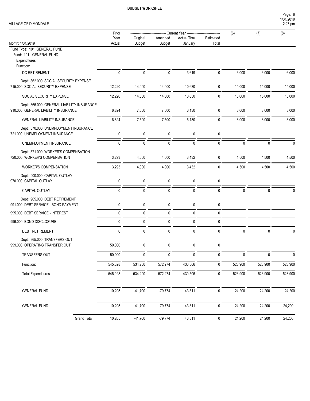| VILLAGE OF DIMONDALE |  |
|----------------------|--|
|----------------------|--|

| Page: 6   |  |
|-----------|--|
| 1/31/2019 |  |
| 12:27 pm  |  |

|                                                                                  | Prior        |               |               | <b>Current Year ------------</b> |              | (6)          | (7)          | (8)      |
|----------------------------------------------------------------------------------|--------------|---------------|---------------|----------------------------------|--------------|--------------|--------------|----------|
|                                                                                  | Year         | Original      | Amended       | <b>Actual Thru</b>               | Estimated    |              |              |          |
| Month: 1/31/2019<br>Fund Type: 101 GENERAL FUND                                  | Actual       | <b>Budget</b> | <b>Budget</b> | January                          | Total        |              |              |          |
| Fund: 101 - GENERAL FUND<br>Expenditures<br>Function:                            |              |               |               |                                  |              |              |              |          |
| DC RETIREMENT                                                                    | $\mathbf 0$  | $\pmb{0}$     | $\pmb{0}$     | 3,619                            | 0            | 6,000        | 6,000        | 6,000    |
| Dept: 862.000 SOCIAL SECURITY EXPENSE<br>715.000 SOCIAL SECURITY EXPENSE         | 12,220       | 14,000        | 14,000        | 10,630                           | 0            | 15,000       | 15,000       | 15,000   |
| SOCIAL SECURITY EXPENSE                                                          | 12,220       | 14,000        | 14,000        | 10,630                           | 0            | 15,000       | 15,000       | 15,000   |
| Dept: 865.000 GENERAL LIABILITY INSURANCE<br>910.000 GENERAL LIABILITY INSURANCE | 6,824        | 7,500         | 7,500         | 6,130                            | 0            | 8,000        | 8,000        | 8,000    |
| <b>GENERAL LIABILITY INSURANCE</b>                                               | 6,824        | 7,500         | 7,500         | 6,130                            | $\mathbf{0}$ | 8,000        | 8,000        | 8,000    |
| Dept: 870.000 UNEMPLOYMENT INSURANCE<br>721.000 UNEMPLOYMENT INSURANCE           | 0            | 0             | 0             | 0                                | 0            |              |              |          |
| UNEMPLOYMENT INSURANCE                                                           | $\mathbf{0}$ | $\mathbf 0$   | $\mathbf{0}$  | $\mathbf 0$                      | 0            | $\Omega$     | $\Omega$     | $\Omega$ |
| Dept: 871.000 WORKER'S COMPENSATION<br>720.000 WORKER'S COMPENSATION             | 3,293        | 4,000         | 4,000         | 3,432                            | 0            | 4,500        | 4,500        | 4,500    |
| <b>WORKER'S COMPENSATION</b>                                                     | 3,293        | 4,000         | 4,000         | 3,432                            | 0            | 4,500        | 4,500        | 4,500    |
| Dept: 900.000 CAPITAL OUTLAY<br>970.000 CAPITAL OUTLAY                           | 0            | 0             | 0             | 0                                | 0            |              |              |          |
| CAPITAL OUTLAY                                                                   | 0            | $\mathbf{0}$  | $\mathbf{0}$  | $\mathbf 0$                      | 0            | $\mathbf{0}$ | $\mathbf{0}$ | U        |
| Dept: 905.000 DEBT RETIREMENT<br>991.000 DEBT SERVICE - BOND PAYMENT             | 0            | 0             | 0             | $\pmb{0}$                        | 0            |              |              |          |
| 995.000 DEBT SERVICE - INTEREST                                                  | 0            | 0             | 0             | $\pmb{0}$                        | 0            |              |              |          |
| 996.000 BOND DISCLOSURE                                                          | 0            | 0             | 0             | 0                                | 0            |              |              |          |
| <b>DEBT RETIREMENT</b>                                                           | $\mathbf{0}$ | $\mathbf{0}$  | 0             | $\mathbf 0$                      | 0            | $\Omega$     | $\Omega$     | $\Omega$ |
| Dept: 965.000 TRANSFERS OUT<br>999.000 OPERATING TRANSFER OUT                    | 50,000       | 0             | 0             | 0                                | 0            |              |              |          |
| TRANSFERS OUT                                                                    | 50,000       | 0             | $\bf{0}$      | $\bf{0}$                         | $\bf{0}$     | $\mathbf 0$  | 0            | $\bf{0}$ |
| Function:                                                                        | 545,028      | 534,200       | 572,274       | 430,506                          | 0            | 523,900      | 523,900      | 523,900  |
| <b>Total Expenditures</b>                                                        | 545,028      | 534,200       | 572,274       | 430,506                          | $\pmb{0}$    | 523,900      | 523,900      | 523,900  |
|                                                                                  |              |               |               |                                  |              |              |              |          |
| <b>GENERAL FUND</b>                                                              | 10,205       | $-41,700$     | $-79,774$     | 43,811                           | 0            | 24,200       | 24,200       | 24,200   |
| <b>GENERAL FUND</b>                                                              | 10,205       | $-41,700$     | $-79,774$     | 43,811                           | $\mathbf 0$  | 24,200       | 24,200       | 24,200   |
| Grand Total:                                                                     | 10,205       | $-41,700$     | $-79,774$     | 43,811                           | $\mathbf 0$  | 24,200       | 24,200       | 24,200   |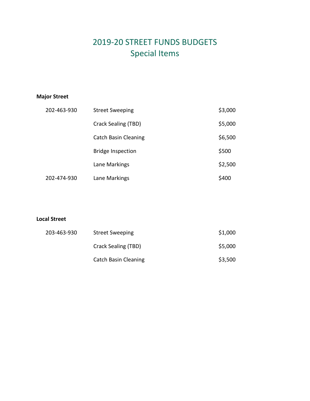### 2019-20 STREET FUNDS BUDGETS Special Items

#### **Major Street**

| 202-463-930 | <b>Street Sweeping</b>      | \$3,000 |
|-------------|-----------------------------|---------|
|             | Crack Sealing (TBD)         | \$5,000 |
|             | <b>Catch Basin Cleaning</b> | \$6,500 |
|             | <b>Bridge Inspection</b>    | \$500   |
|             | Lane Markings               | \$2,500 |
| 202-474-930 | Lane Markings               | \$400   |

#### **Local Street**

| 203-463-930 | <b>Street Sweeping</b>      | \$1,000 |
|-------------|-----------------------------|---------|
|             | Crack Sealing (TBD)         | \$5,000 |
|             | <b>Catch Basin Cleaning</b> | \$3,500 |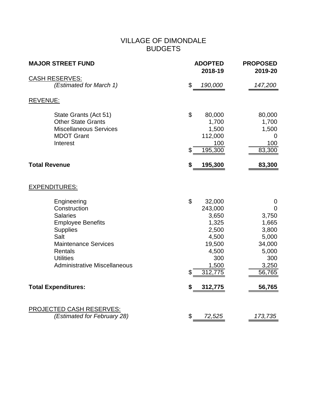#### VILLAGE OF DIMONDALE BUDGETS

| <b>MAJOR STREET FUND</b>                                                                                                                                                                                   | <b>ADOPTED</b><br>2018-19                                                                                       | <b>PROPOSED</b><br>2019-20                                                                               |
|------------------------------------------------------------------------------------------------------------------------------------------------------------------------------------------------------------|-----------------------------------------------------------------------------------------------------------------|----------------------------------------------------------------------------------------------------------|
| <b>CASH RESERVES:</b>                                                                                                                                                                                      |                                                                                                                 |                                                                                                          |
| (Estimated for March 1)                                                                                                                                                                                    | \$<br>190,000                                                                                                   | 147,200                                                                                                  |
| <b>REVENUE:</b>                                                                                                                                                                                            |                                                                                                                 |                                                                                                          |
| State Grants (Act 51)<br><b>Other State Grants</b><br><b>Miscellaneous Services</b><br><b>MDOT Grant</b><br>Interest                                                                                       | \$<br>80,000<br>1,700<br>1,500<br>112,000<br>100<br>195,300<br>\$                                               | 80,000<br>1,700<br>1,500<br>0<br>100<br>83,300                                                           |
| <b>Total Revenue</b>                                                                                                                                                                                       | \$<br>195,300                                                                                                   | 83,300                                                                                                   |
| <b>EXPENDITURES:</b>                                                                                                                                                                                       |                                                                                                                 |                                                                                                          |
| Engineering<br>Construction<br><b>Salaries</b><br><b>Employee Benefits</b><br><b>Supplies</b><br>Salt<br><b>Maintenance Services</b><br>Rentals<br><b>Utilities</b><br><b>Administrative Miscellaneous</b> | \$<br>32,000<br>243,000<br>3,650<br>1,325<br>2,500<br>4,500<br>19,500<br>4,500<br>300<br>1,500<br>\$<br>312,775 | $\mathbf 0$<br>$\Omega$<br>3,750<br>1,665<br>3,800<br>5,000<br>34,000<br>5,000<br>300<br>3,250<br>56,765 |
| <b>Total Expenditures:</b>                                                                                                                                                                                 | \$<br>312,775                                                                                                   | 56,765                                                                                                   |
| <b>PROJECTED CASH RESERVES:</b>                                                                                                                                                                            |                                                                                                                 |                                                                                                          |
| (Estimated for February 28)                                                                                                                                                                                | \$<br>72,525                                                                                                    | 173,735                                                                                                  |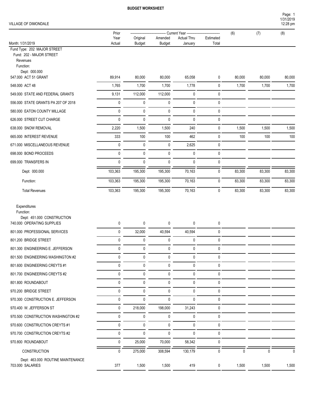#### VILLAGE OF DIMONDALE

| VILLAGE OF DIMONDALE                                                |         |               |               |                                              |             |        |        | Page: 1<br>1/31/2019<br>12:28 pm |
|---------------------------------------------------------------------|---------|---------------|---------------|----------------------------------------------|-------------|--------|--------|----------------------------------|
|                                                                     | Prior   |               |               | - Current Year ----------------------------- |             | (6)    | (7)    | (8)                              |
|                                                                     | Year    | Original      | Amended       | <b>Actual Thru</b>                           | Estimated   |        |        |                                  |
| Month: 1/31/2019                                                    | Actual  | <b>Budget</b> | <b>Budget</b> | January                                      | Total       |        |        |                                  |
| Fund Type: 202 MAJOR STREET<br>Fund: 202 - MAJOR STREET<br>Revenues |         |               |               |                                              |             |        |        |                                  |
| Function:<br>Dept: 000.000                                          |         |               |               |                                              |             |        |        |                                  |
| 547.000 ACT 51 GRANT                                                | 89,914  | 80,000        | 80,000        | 65,058                                       | 0           | 80,000 | 80,000 | 80,000                           |
| 548.000 ACT 48                                                      | 1,765   | 1,700         | 1,700         | 1,778                                        | 0           | 1,700  | 1,700  | 1,700                            |
| 549.000 STATE AND FEDERAL GRANTS                                    | 9,131   | 112,000       | 112,000       | $\mathbf 0$                                  | $\mathbf 0$ |        |        |                                  |
| 556,000 STATE GRANTS PA 207 OF 2018                                 | 0       | 0             | 0             | $\mathbf 0$                                  | $\mathbf 0$ |        |        |                                  |
| 580.000 EATON COUNTY MILLAGE                                        | 0       | 0             | 0             | $\mathbf{0}$                                 | 0           |        |        |                                  |
| 626.000 STREET CUT CHARGE                                           | 0       | $\mathbf 0$   | 0             | $\mathbf 0$                                  | 0           |        |        |                                  |
| 638,000 SNOW REMOVAL                                                | 2,220   | 1,500         | 1,500         | 240                                          | 0           | 1,500  | 1,500  | 1,500                            |
| 665.000 INTEREST REVENUE                                            | 333     | 100           | 100           | 462                                          | $\mathbf 0$ | 100    | 100    | 100                              |
| 671.000 MISCELLANEOUS REVENUE                                       | 0       | $\pmb{0}$     | 0             | 2,625                                        | 0           |        |        |                                  |
| 698,000 BOND PROCEEDS                                               | 0       | 0             | 0             | 0                                            | 0           |        |        |                                  |
| 699.000 TRANSFERS IN                                                | 0       | 0             | 0             | 0                                            | $\mathbf 0$ |        |        |                                  |
| Dept: 000.000                                                       | 103,363 | 195,300       | 195,300       | 70,163                                       | 0           | 83,300 | 83,300 | 83,300                           |
| Function:                                                           | 103,363 | 195,300       | 195,300       | 70,163                                       | 0           | 83,300 | 83,300 | 83,300                           |
|                                                                     |         |               |               |                                              |             |        |        |                                  |

Total Revenues 103,363 195,300 195,300 70,163 0 83,300 83,300 83,300

Expenditures

Function:

Dept: 451.000 CONSTRUCTION 740.000 OPERATING SUPPLIES  $\begin{array}{cccc} 0 & 0 & 0 & 0 \end{array}$ 801.000 PROFESSIONAL SERVICES 0 32,000 40,594 40,594 0 801.200 BRIDGE STREET 0 0 0 0 0 801.300 ENGINEERING E. JEFFERSON 0 0 0 0 0 801.500 ENGINEERING WASHINGTON #2 0 0 0 0 0 801.600 ENGINEERING CREYTS #1 0 0 0 0 0 801.700 ENGINEERING CREYTS #2 0 0 0 0 0 801.800 ROUNDABOUT 0 0 0 0 0 970.200 BRIDGE STREET  $\begin{array}{ccccccccc} 0 & 0 & 0 & 0 & 0 & 0 & 0 \end{array}$ 970.300 CONSTRUCTION E. JEFFERSON 0 0 0 0 0 970.400 W. JEFFERSON ST 0 218,000 198,000 31,243 0 970.500 CONSTRUCTION WASHINGTON #2 0 0 0 0 0 970.600 CONSTRUCTION CREYTS #1 0 0 0 0 0 970.700 CONSTRUCTION CREYTS #2 0 0 0 0 0 970.800 ROUNDABOUT 0 25,000 70,000 58,342 0 CONSTRUCTION 0 275,000 308,594 130,179 0 0 0 0 Dept: 463.000 ROUTINE MAINTENANCE 703.000 SALARIES 377 1,500 1,500 419 0 1,500 1,500 1,500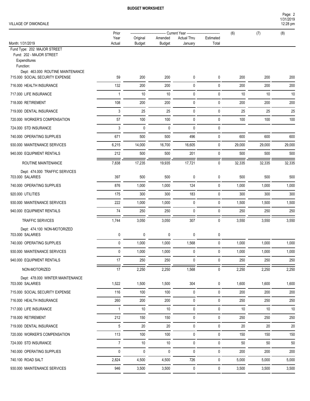1/31/2019 Page: 2

| VILLAGE OF DIMONDALE                                                                                                      |                |                           |                               |                               |                    |        |        | 12:28 pm |
|---------------------------------------------------------------------------------------------------------------------------|----------------|---------------------------|-------------------------------|-------------------------------|--------------------|--------|--------|----------|
|                                                                                                                           | Prior          |                           | <b>Current Year ---------</b> |                               | (6)                | (7)    | (8)    |          |
| Month: 1/31/2019                                                                                                          | Year<br>Actual | Original<br><b>Budget</b> | Amended<br><b>Budget</b>      | <b>Actual Thru</b><br>January | Estimated<br>Total |        |        |          |
| Fund Type: 202 MAJOR STREET<br>Fund: 202 - MAJOR STREET<br>Expenditures<br>Function:<br>Dept: 463.000 ROUTINE MAINTENANCE |                |                           |                               |                               |                    |        |        |          |
| 715.000 SOCIAL SECURITY EXPENSE                                                                                           | 59             | 200                       | 200                           | 0                             | 0                  | 200    | 200    | 200      |
| 716.000 HEALTH INSURANCE                                                                                                  | 132            | 200                       | 200                           | $\mathbf 0$                   | 0                  | 200    | 200    | 200      |
| 717.000 LIFE INSURANCE                                                                                                    | $\overline{1}$ | 10                        | 10                            | $\mathbf 0$                   | 0                  | $10$   | 10     | 10       |
| 718.000 RETIREMENT                                                                                                        | 108            | 200                       | 200                           | $\pmb{0}$                     | $\pmb{0}$          | 200    | 200    | 200      |
| 719.000 DENTAL INSURANCE                                                                                                  | 3              | 25                        | 25                            | $\pmb{0}$                     | $\pmb{0}$          | 25     | 25     | 25       |
| 720.000 WORKER'S COMPENSATION                                                                                             | 57             | 100                       | 100                           | $\mathbf 0$                   | $\pmb{0}$          | 100    | 100    | 100      |
| 724.000 STD INSURANCE                                                                                                     | 3              | $\mathbf 0$               | 0                             | $\mathbf 0$                   | 0                  |        |        |          |
| 740.000 OPERATING SUPPLIES                                                                                                | 671            | 500                       | 500                           | 496                           | 0                  | 600    | 600    | 600      |
| 930.000 MAINTENANCE SERVICES                                                                                              | 6,215          | 14,000                    | 16,700                        | 16,605                        | 0                  | 29,000 | 29,000 | 29,000   |
| 940.000 EQUIPMENT RENTALS                                                                                                 | 212            | 500                       | 500                           | 201                           | 0                  | 500    | 500    | 500      |
| ROUTINE MAINTENANCE                                                                                                       | 7,838          | 17,235                    | 19,935                        | 17,721                        | $\mathbf 0$        | 32,335 | 32,335 | 32,335   |
| Dept: 474.000 TRAFFIC SERVICES<br>703.000 SALARIES                                                                        | 397            | 500                       | 500                           | 0                             | $\pmb{0}$          | 500    | 500    | 500      |
| 740.000 OPERATING SUPPLIES                                                                                                | 876            | 1,000                     | 1,000                         | 124                           | $\pmb{0}$          | 1,000  | 1,000  | 1,000    |
| 920.000 UTILITIES                                                                                                         | 175            | 300                       | 300                           | 183                           | $\mathbf 0$        | 300    | 300    | 300      |
| 930.000 MAINTENANCE SERVICES                                                                                              | 222            | 1,000                     | 1,000                         | 0                             | 0                  | 1,500  | 1,500  | 1,500    |
| 940.000 EQUIPMENT RENTALS                                                                                                 | 74             | 250                       | 250                           | 0                             | 0                  | 250    | 250    | 250      |
| TRAFFIC SERVICES                                                                                                          | 1,744          | 3,050                     | 3,050                         | 307                           | $\mathbf 0$        | 3,550  | 3,550  | 3,550    |
| Dept: 474.100 NON-MOTORIZED<br>703.000 SALARIES                                                                           | 0              | 0                         | 0                             | 0                             | 0                  |        |        |          |
| 740.000 OPERATING SUPPLIES                                                                                                | 0              | 1,000                     | 1,000                         | 1,568                         | 0                  | 1,000  | 1,000  | 1,000    |
| 930.000 MAINTENANCE SERVICES                                                                                              | 0              | 1,000                     | 1,000                         | $\pmb{0}$                     | $\pmb{0}$          | 1,000  | 1,000  | 1,000    |
| 940.000 EQUIPMENT RENTALS                                                                                                 | 17             | 250                       | 250                           | 0                             | 0                  | 250    | 250    | 250      |
| NON-MOTORIZED                                                                                                             | 17             | 2,250                     | 2,250                         | 1,568                         | 0                  | 2,250  | 2,250  | 2,250    |
| Dept: 478.000 WINTER MAINTENANCE<br>703.000 SALARIES                                                                      | 1,522          | 1,500                     | 1,500                         | 304                           | 0                  | 1,600  | 1,600  | 1,600    |
| 715.000 SOCIAL SECURITY EXPENSE                                                                                           | 116            | 100                       | 100                           | 0                             | 0                  | 200    | 200    | 200      |
| 716.000 HEALTH INSURANCE                                                                                                  | 260            | 200                       | 200                           | 0                             | 0                  | 250    | 250    | 250      |
| 717.000 LIFE INSURANCE                                                                                                    | 1              | $10\,$                    | $10\,$                        | 0                             | 0                  | 10     | 10     | 10       |
| 718.000 RETIREMENT                                                                                                        | 212            | 150                       | 150                           | 0                             | 0                  | 250    | 250    | 250      |
| 719.000 DENTAL INSURANCE                                                                                                  | 5              | $20\,$                    | $20\,$                        | $\mathbf 0$                   | $\pmb{0}$          | 20     | 20     | $20\,$   |
| 720.000 WORKER'S COMPENSATION                                                                                             | 113            | 100                       | 100                           | $\mathbf 0$                   | 0                  | 150    | 150    | 150      |
| 724.000 STD INSURANCE                                                                                                     | $\overline{7}$ | $10\,$                    | $10$                          | $\mathbf 0$                   | 0                  | 50     | 50     | 50       |
| 740.000 OPERATING SUPPLIES                                                                                                | 0              | $\mathbf 0$               | 0                             | $\mathbf 0$                   | 0                  | 200    | 200    | 200      |
| 740.100 ROAD SALT                                                                                                         | 2,824          | 4,500                     | 4,500                         | 726                           | 0                  | 5,000  | 5,000  | 5,000    |
| 930.000 MAINTENANCE SERVICES                                                                                              | 946            | 3,500                     | 3,500                         | 0                             | $\pmb{0}$          | 3,500  | 3,500  | 3,500    |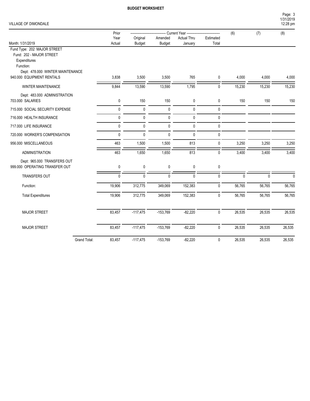Page: 3

| VILLAGE OF DIMONDALE                                                                                                     |             |               |                           |                    |             |              |        | 1/31/2019<br>12:28 pm |
|--------------------------------------------------------------------------------------------------------------------------|-------------|---------------|---------------------------|--------------------|-------------|--------------|--------|-----------------------|
|                                                                                                                          | Prior       |               | -- Current Year --------- | ---------          | (6)         | (7)          | (8)    |                       |
|                                                                                                                          | Year        | Original      | Amended                   | <b>Actual Thru</b> | Estimated   |              |        |                       |
| Month: 1/31/2019                                                                                                         | Actual      | <b>Budget</b> | <b>Budget</b>             | January            | Total       |              |        |                       |
| Fund Type: 202 MAJOR STREET<br>Fund: 202 - MAJOR STREET<br>Expenditures<br>Function:<br>Dept: 478.000 WINTER MAINTENANCE |             |               |                           |                    |             |              |        |                       |
| 940.000 EQUIPMENT RENTALS                                                                                                | 3,838       | 3,500         | 3,500                     | 765                | $\mathbf 0$ | 4,000        | 4,000  | 4,000                 |
| <b>WINTER MAINTENANCE</b>                                                                                                | 9,844       | 13,590        | 13,590                    | 1,795              | $\mathbf 0$ | 15,230       | 15,230 | 15,230                |
| Dept: 483.000 ADMINISTRATION<br>703,000 SALARIES                                                                         | $\mathbf 0$ | 150           | 150                       | 0                  | $\mathbf 0$ | 150          | 150    | 150                   |
| 715.000 SOCIAL SECURITY EXPENSE                                                                                          | 0           | 0             | $\mathbf 0$               | 0                  | 0           |              |        |                       |
| 716.000 HEALTH INSURANCE                                                                                                 | 0           | 0             | $\mathbf 0$               | $\mathbf 0$        | $\pmb{0}$   |              |        |                       |
| 717.000 LIFE INSURANCE                                                                                                   | 0           | 0             | $\mathbf 0$               | $\mathbf 0$        | 0           |              |        |                       |
| 720.000 WORKER'S COMPENSATION                                                                                            | 0           | $\mathbf{0}$  | $\mathbf 0$               | $\mathbf{0}$       | 0           |              |        |                       |
| 956.000 MISCELLANEOUS                                                                                                    | 463         | 1,500         | 1,500                     | 813                | $\pmb{0}$   | 3,250        | 3,250  | 3,250                 |
| <b>ADMINISTRATION</b>                                                                                                    | 463         | 1,650         | 1,650                     | 813                | $\mathbf 0$ | 3,400        | 3,400  | 3,400                 |
| Dept: 965.000 TRANSFERS OUT<br>999.000 OPERATING TRANSFER OUT                                                            | 0           | 0             | $\pmb{0}$                 | $\mathbf 0$        | $\pmb{0}$   |              |        |                       |
| <b>TRANSFERS OUT</b>                                                                                                     | 0           | $\mathbf{0}$  | $\mathbf{0}$              | $\Omega$           | 0           | $\mathbf{0}$ | 0      |                       |
| Function:                                                                                                                | 19,906      | 312,775       | 349,069                   | 152,383            | $\pmb{0}$   | 56,765       | 56,765 | 56,765                |
| <b>Total Expenditures</b>                                                                                                | 19,906      | 312,775       | 349,069                   | 152,383            | $\pmb{0}$   | 56,765       | 56,765 | 56,765                |
| MAJOR STREET                                                                                                             | 83,457      | $-117,475$    | $-153,769$                | $-82,220$          | $\pmb{0}$   | 26,535       | 26,535 | 26,535                |
| <b>MAJOR STREET</b>                                                                                                      | 83,457      | $-117,475$    | $-153,769$                | $-82,220$          | 0           | 26,535       | 26,535 | 26,535                |

Grand Total: 83,457 -117,475 -153,769 -82,220 0 26,535 26,535 26,535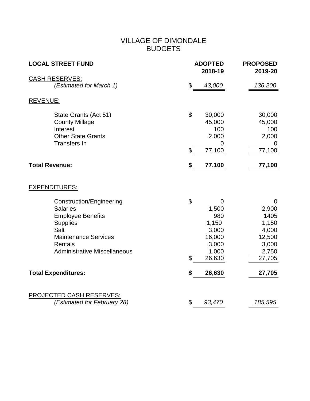#### VILLAGE OF DIMONDALE BUDGETS

| <b>LOCAL STREET FUND</b>                                                                                                                                                                                                 | <b>ADOPTED</b><br>2018-19                                                                             | <b>PROPOSED</b><br>2019-20                                                           |
|--------------------------------------------------------------------------------------------------------------------------------------------------------------------------------------------------------------------------|-------------------------------------------------------------------------------------------------------|--------------------------------------------------------------------------------------|
| <b>CASH RESERVES:</b>                                                                                                                                                                                                    |                                                                                                       |                                                                                      |
| (Estimated for March 1)                                                                                                                                                                                                  | \$<br>43,000                                                                                          | 136,200                                                                              |
| <b>REVENUE:</b>                                                                                                                                                                                                          |                                                                                                       |                                                                                      |
| State Grants (Act 51)<br><b>County Millage</b><br>Interest<br><b>Other State Grants</b><br><b>Transfers In</b>                                                                                                           | \$<br>30,000<br>45,000<br>100<br>2,000<br>\$<br>77,100                                                | 30,000<br>45,000<br>100<br>2,000<br>U<br>77,100                                      |
| <b>Total Revenue:</b>                                                                                                                                                                                                    | \$<br>77,100                                                                                          | 77,100                                                                               |
| <b>EXPENDITURES:</b>                                                                                                                                                                                                     |                                                                                                       |                                                                                      |
| <b>Construction/Engineering</b><br><b>Salaries</b><br><b>Employee Benefits</b><br><b>Supplies</b><br>Salt<br><b>Maintenance Services</b><br>Rentals<br><b>Administrative Miscellaneous</b><br><b>Total Expenditures:</b> | \$<br>0<br>1,500<br>980<br>1,150<br>3,000<br>16,000<br>3,000<br>1,000<br>\$<br>26,630<br>\$<br>26,630 | 0<br>2,900<br>1405<br>1,150<br>4,000<br>12,500<br>3,000<br>2,750<br>27,705<br>27,705 |
| <b>PROJECTED CASH RESERVES:</b><br>(Estimated for February 28)                                                                                                                                                           | \$<br>93,470                                                                                          | 185,595                                                                              |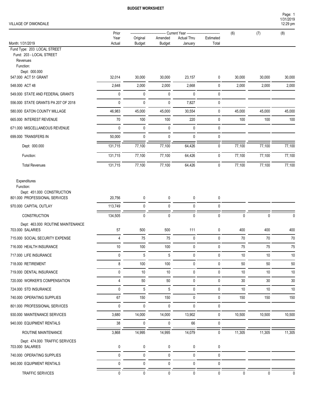#### VILLAGE OF DIMONDALE

| VILLAGE OF DIMONDALE |        |                                    |               |                                             |           |     | Page:<br>1/31/2019<br>$12:29$ pm |
|----------------------|--------|------------------------------------|---------------|---------------------------------------------|-----------|-----|----------------------------------|
|                      | Prior  | ---------------------------------- |               | Current Year ------------------------------ |           | (6) | (8)                              |
|                      | Year   | Original                           | Amended       | <b>Actual Thru</b>                          | Estimated |     |                                  |
| Month: 1/31/2019     | Actual | Budget                             | <b>Budget</b> | January                                     | Total     |     |                                  |

Fund Type: 203 LOCAL STREET

Fund: 203 - LOCAL STREET Revenues

Function:

Dept: 000.000

| DENI. VUU.VUU<br>547.000 ACT 51 GRANT | 32,014  | 30,000 | 30,000 | 23,157       | 0            | 30,000 | 30,000 | 30,000 |
|---------------------------------------|---------|--------|--------|--------------|--------------|--------|--------|--------|
| 548.000 ACT 48                        | 2,648   | 2,000  | 2,000  | 2,668        | 0            | 2,000  | 2,000  | 2,000  |
| 549.000 STATE AND FEDERAL GRANTS      |         | 0      | 0      | $\mathbf{0}$ | $\mathbf{0}$ |        |        |        |
| 556.000 STATE GRANTS PA 207 OF 2018   |         | 0      | 0      | 7,827        | 0            |        |        |        |
| 580.000 EATON COUNTY MILLAGE          | 46,983  | 45,000 | 45,000 | 30,554       | 0            | 45,000 | 45,000 | 45,000 |
| 665.000 INTEREST REVENUE              | 70      | 100    | 100    | 220          | 0            | 100    | 100    | 100    |
| 671.000 MISCELLANEOUS REVENUE         |         | 0      | 0      | $\mathbf{0}$ | $\mathbf{0}$ |        |        |        |
| 699.000 TRANSFERS IN                  | 50,000  | 0      | 0      | $\mathbf{0}$ | $\mathbf{0}$ |        |        |        |
| Dept: 000.000                         | 131,715 | 77,100 | 77,100 | 64,426       | $\mathbf{0}$ | 77,100 | 77,100 | 77,100 |
| Function:                             | 131,715 | 77,100 | 77,100 | 64,426       | 0            | 77,100 | 77,100 | 77,100 |
| <b>Total Revenues</b>                 | 131,715 | 77,100 | 77,100 | 64,426       | $\mathbf{0}$ | 77,100 | 77,100 | 77,100 |
|                                       |         |        |        |              |              |        |        |        |

Expenditures

| Function:<br>Dept: 451.000 CONSTRUCTION               |                |              |              |              |              |              |              |              |
|-------------------------------------------------------|----------------|--------------|--------------|--------------|--------------|--------------|--------------|--------------|
| 801.000 PROFESSIONAL SERVICES                         | 20,756         | 0            | 0            | $\mathbf{0}$ | 0            |              |              |              |
| 970.000 CAPITAL OUTLAY                                | 113,749        | $\mathbf 0$  | 0            | $\mathbf{0}$ | $\mathbf 0$  |              |              |              |
| CONSTRUCTION                                          | 134,505        | 0            | $\mathbf{0}$ | $\mathbf{0}$ | 0            | $\Omega$     | 0            | <sup>0</sup> |
| Dept: 463.000 ROUTINE MAINTENANCE<br>703.000 SALARIES | 57             | 500          | 500          | 111          | 0            | 400          | 400          | 400          |
| 715.000 SOCIAL SECURITY EXPENSE                       | $\overline{4}$ | 75           | 75           | 0            | $\mathbf 0$  | 70           | 70           | 70           |
| 716.000 HEALTH INSURANCE                              | 10             | 100          | 100          | $\mathbf{0}$ | $\mathbf 0$  | 75           | 75           | 75           |
| 717.000 LIFE INSURANCE                                | 0              | 5            | 5            | $\mathbf{0}$ | 0            | $10$         | 10           | $10$         |
| 718.000 RETIREMENT                                    | 8              | 100          | 100          | $\mathbf{0}$ | $\mathbf 0$  | 50           | 50           | 50           |
| 719.000 DENTAL INSURANCE                              | $\mathbf{0}$   | 10           | 10           | $\mathbf{0}$ | $\mathbf 0$  | 10           | 10           | 10           |
| 720.000 WORKER'S COMPENSATION                         | $\overline{4}$ | 50           | 50           | $\mathbf{0}$ | $\mathbf 0$  | 30           | 30           | 30           |
| 724,000 STD INSURANCE                                 | $\mathbf{0}$   | 5            | 5            | $\mathbf{0}$ | $\mathbf 0$  | 10           | 10           | 10           |
| 740.000 OPERATING SUPPLIES                            | 67             | 150          | 150          | $\mathbf{0}$ | $\mathbf 0$  | 150          | 150          | 150          |
| 801.000 PROFESSIONAL SERVICES                         | $\mathbf{0}$   | $\mathbf 0$  | 0            | $\mathbf{0}$ | $\mathbf 0$  |              |              |              |
| 930.000 MAINTENANCE SERVICES                          | 3,680          | 14,000       | 14,000       | 13,902       | $\mathbf 0$  | 10,500       | 10,500       | 10,500       |
| 940.000 EQUIPMENT RENTALS                             | 38             | 0            | 0            | 66           | $\mathbf 0$  |              |              |              |
| ROUTINE MAINTENANCE                                   | 3,868          | 14,995       | 14,995       | 14,079       | $\mathbf{0}$ | 11,305       | 11,305       | 11,305       |
| Dept: 474.000 TRAFFIC SERVICES                        |                |              |              |              |              |              |              |              |
| 703,000 SALARIES                                      | 0              | 0            | 0            | 0            | 0            |              |              |              |
| 740.000 OPERATING SUPPLIES                            | $\mathbf{0}$   | $\mathbf 0$  | 0            | $\mathbf{0}$ | $\mathbf 0$  |              |              |              |
| 940.000 EQUIPMENT RENTALS                             | 0              | 0            | 0            | $\mathbf{0}$ | 0            |              |              |              |
| <b>TRAFFIC SERVICES</b>                               | $\mathbf{0}$   | $\mathbf{0}$ | $\mathbf{0}$ | $\mathbf{0}$ | 0            | $\mathbf{0}$ | $\mathbf{0}$ | <sup>0</sup> |

1/31/2019 Page: 1 12:29 pm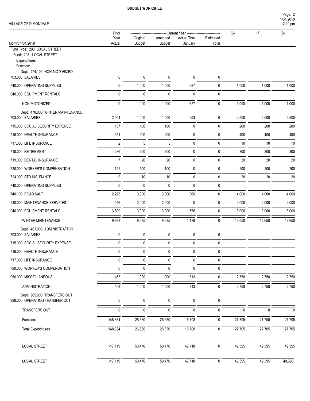#### VILLAGE OF DIMONDALE

|                                                                                      | Prior          |             |               | Current Year --    |           | (6)      | (7)          | (8)          |
|--------------------------------------------------------------------------------------|----------------|-------------|---------------|--------------------|-----------|----------|--------------|--------------|
|                                                                                      | Year           | Original    | Amended       | <b>Actual Thru</b> | Estimated |          |              |              |
| Month: 1/31/2019<br>Fund Type: 203 LOCAL STREET                                      | Actual         | Budget      | <b>Budget</b> | January            | Total     |          |              |              |
| Fund: 203 - LOCAL STREET<br>Expenditures<br>Function:<br>Dept: 474.100 NON-MOTORIZED |                |             |               |                    |           |          |              |              |
| 703.000 SALARIES                                                                     | 0              | 0           | 0             | 0                  | 0         |          |              |              |
| 740.000 OPERATING SUPPLIES                                                           | 0              | 1,000       | 1,000         | 627                | 0         | 1,000    | 1,000        | 1,000        |
| 940.000 EQUIPMENT RENTALS                                                            | 0              | $\pmb{0}$   | 0             | $\mathbf 0$        | 0         |          |              |              |
| NON-MOTORIZED                                                                        | 0              | 1,000       | 1,000         | 627                | 0         | 1,000    | 1,000        | 1,000        |
| Dept: 478.000 WINTER MAINTENANCE<br>703.000 SALARIES                                 | 2,054          | 1,000       | 1,000         | 253                | 0         | 2,500    | 2,500        | 2,500        |
| 715.000 SOCIAL SECURITY EXPENSE                                                      | 157            | 100         | 100           | 0                  | 0         | 200      | 200          | 200          |
| 716.000 HEALTH INSURANCE                                                             | 351            | 200         | 200           | 0                  | 0         | 400      | 400          | 400          |
| 717.000 LIFE INSURANCE                                                               | $\overline{2}$ | 5           | $\sqrt{5}$    | $\mathbf 0$        | 0         | 10       | 10           | 10           |
| 718.000 RETIREMENT                                                                   | 286            | 200         | 200           | $\mathbf 0$        | 0         | 300      | 300          | 300          |
| 719.000 DENTAL INSURANCE                                                             | $\overline{7}$ | 20          | 20            | 0                  | 0         | 20       | 20           | 20           |
| 720.000 WORKER'S COMPENSATION                                                        | 152            | 100         | 100           | 0                  | 0         | 200      | 200          | 200          |
| 724.000 STD INSURANCE                                                                | 9              | $10$        | 10            | 0                  | 0         | 20       | 20           | 20           |
| 740.000 OPERATING SUPPLIES                                                           | $\mathbf 0$    | $\mathbf 0$ | $\mathbf 0$   | 0                  | 0         |          |              |              |
| 740.100 ROAD SALT                                                                    | 2,225          | 3,000       | 3,000         | 360                | 0         | 4,000    | 4,000        | 4,000        |
| 930.000 MAINTENANCE SERVICES                                                         | 946            | 2,000       | 2,000         | $\mathbf 0$        | 0         | 2,000    | 2,000        | 2,000        |
| 940.000 EQUIPMENT RENTALS                                                            | 3,809          | 3,000       | 3,000         | 576                | 0         | 3,000    | 3,000        | 3,000        |
| WINTER MAINTENANCE                                                                   | 9,998          | 9,635       | 9,635         | 1,189              | 0         | 12,650   | 12,650       | 12,650       |
| Dept: 483.000 ADMINISTRATION<br>703.000 SALARIES                                     | 0              | 0           | 0             | 0                  | 0         |          |              |              |
| 715.000 SOCIAL SECURITY EXPENSE                                                      | 0              | $\mathbf 0$ | 0             | 0                  | 0         |          |              |              |
| 716.000 HEALTH INSURANCE                                                             | 0              | $\mathbf 0$ | 0             | 0                  | 0         |          |              |              |
| 717.000 LIFE INSURANCE                                                               | $\pmb{0}$      | 0           | 0             | 0                  | 0         |          |              |              |
| 720.000 WORKER'S COMPENSATION                                                        | $\pmb{0}$      | 0           | 0             | $\mathbf 0$        | 0         |          |              |              |
| 956.000 MISCELLANEOUS                                                                | 463            | 1,000       | 1,000         | 813                | 0         | 2,750    | 2,750        | 2,750        |
| <b>ADMINISTRATION</b>                                                                | 463            | 1,000       | 1,000         | 813                | 0         | 2,750    | 2,750        | 2,750        |
| Dept: 965.000 TRANSFERS OUT<br>999.000 OPERATING TRANSFER OUT                        | 0              | 0           | 0             | 0                  | 0         |          |              |              |
| TRANSFERS OUT                                                                        | 0              | 0           | $\mathbf 0$   | $\mathbf{0}$       | 0         | $\Omega$ | $\mathbf{0}$ | $\mathbf{0}$ |
| Function:                                                                            | 148,834        | 26,630      | 26,630        | 16,708             | 0         | 27,705   | 27,705       | 27,705       |
| <b>Total Expenditures</b>                                                            | 148,834        | 26,630      | 26,630        | 16,708             | 0         | 27,705   | 27,705       | 27,705       |
|                                                                                      |                |             |               |                    |           |          |              |              |
| <b>LOCAL STREET</b>                                                                  | $-17,119$      | 50,470      | 50,470        | 47,718             | $\pmb{0}$ | 49,395   | 49,395       | 49,395       |
| <b>LOCAL STREET</b>                                                                  | $-17,119$      | 50,470      | 50,470        | 47,718             | $\pmb{0}$ | 49,395   | 49,395       | 49,395       |

1/31/2019 Page: 2

12:29 pm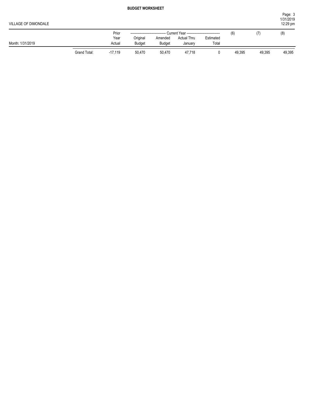| VILLAGE OF DIMONDALE |              |           |               |               |                                             |           |        |        | Page: 3<br>1/31/2019<br>12:29 pm |
|----------------------|--------------|-----------|---------------|---------------|---------------------------------------------|-----------|--------|--------|----------------------------------|
|                      |              | Prior     |               |               | Current Year ------------------------------ |           | (6)    | (7)    | (8)                              |
|                      |              | Year      | Original      | Amended       | <b>Actual Thru</b>                          | Estimated |        |        |                                  |
| Month: 1/31/2019     |              | Actual    | <b>Budget</b> | <b>Budget</b> | January                                     | Total     |        |        |                                  |
|                      | Grand Total: | $-17,119$ | 50,470        | 50,470        | 47,718                                      |           | 49,395 | 49,395 | 49,395                           |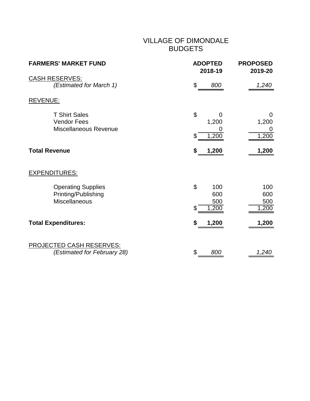#### VILLAGE OF DIMONDALE BUDGETS

| <b>FARMERS' MARKET FUND</b>                                              | <b>ADOPTED</b><br>2018-19                          | <b>PROPOSED</b><br>2019-20                |
|--------------------------------------------------------------------------|----------------------------------------------------|-------------------------------------------|
| <b>CASH RESERVES:</b><br>(Estimated for March 1)                         | \$<br>800                                          | 1,240                                     |
| <b>REVENUE:</b>                                                          |                                                    |                                           |
| <b>T Shirt Sales</b><br><b>Vendor Fees</b><br>Miscellaneous Revenue      | \$<br>0<br>1,200<br>1,200<br>\$                    | 0<br>1,200<br>0<br>1,200                  |
| <b>Total Revenue</b>                                                     | 1,200<br>\$                                        | 1,200                                     |
| <b>EXPENDITURES:</b>                                                     |                                                    |                                           |
| <b>Operating Supplies</b><br>Printing/Publishing<br><b>Miscellaneous</b> | $\mathfrak{L}$<br>100<br>600<br>500<br>\$<br>1,200 | 100<br>600<br>500<br>$\overline{1}$ , 200 |
| <b>Total Expenditures:</b>                                               | 1,200<br>\$                                        | 1,200                                     |
| <b>PROJECTED CASH RESERVES:</b><br>(Estimated for February 28)           | \$<br>800                                          | 1,240                                     |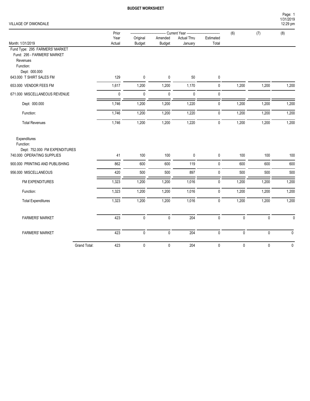#### VILLAGE OF DIMONDALE

|                                                                                                         | Prior            |             |               | - Current Year ----------------------------- |              | (6)          | (7)         | (8)          |
|---------------------------------------------------------------------------------------------------------|------------------|-------------|---------------|----------------------------------------------|--------------|--------------|-------------|--------------|
|                                                                                                         | Year             | Original    | Amended       | <b>Actual Thru</b>                           | Estimated    |              |             |              |
| Month: 1/31/2019                                                                                        | Actual           | Budget      | <b>Budget</b> | January                                      | Total        |              |             |              |
| Fund Type: 295 FARMERS' MARKET<br>Fund: 295 - FARMERS' MARKET<br>Revenues<br>Function:<br>Dept: 000.000 |                  |             |               |                                              |              |              |             |              |
| 643.000 T SHIRT SALES FM                                                                                | 129              | $\pmb{0}$   | $\mathbf 0$   | $50\,$                                       | 0            |              |             |              |
| 653.000 VENDOR FEES FM                                                                                  | 1,617            | 1,200       | 1,200         | 1,170                                        | $\pmb{0}$    | 1,200        | 1,200       | 1,200        |
| 671.000 MISCELLANEOUS REVENUE                                                                           | $\mathbf 0$      | $\mathbf 0$ | 0             | $\mathbf 0$                                  | 0            |              |             |              |
| Dept: 000.000                                                                                           | 1,746            | 1,200       | 1,200         | 1,220                                        | 0            | 1,200        | 1,200       | 1,200        |
| Function:                                                                                               | 1,746            | 1,200       | 1,200         | 1,220                                        | 0            | 1,200        | 1,200       | 1,200        |
| <b>Total Revenues</b>                                                                                   | 1,746            | 1,200       | 1,200         | 1,220                                        | 0            | 1,200        | 1,200       | 1,200        |
| Expenditures<br>Function:<br>Dept: 752.000 FM EXPENDITURES<br>740.000 OPERATING SUPPLIES                | 41               | 100         | 100           | 0                                            | 0            | 100          | 100         | 100          |
| 900.000 PRINTING AND PUBLISHING                                                                         | 862              | 600         | 600           | 119                                          | $\mathbf 0$  | 600          | 600         | 600          |
| 956.000 MISCELLANEOUS                                                                                   | 420              | 500         | 500           | 897                                          | 0            | 500          | 500         | 500          |
| FM EXPENDITURES                                                                                         | 1,323            | 1,200       | 1,200         | 1,016                                        | 0            | 1,200        | 1,200       | 1,200        |
| Function:                                                                                               | 1,323            | 1,200       | 1,200         | 1,016                                        | $\mathbf 0$  | 1,200        | 1,200       | 1,200        |
| <b>Total Expenditures</b>                                                                               | 1,323            | 1,200       | 1,200         | 1,016                                        | $\mathbf{0}$ | 1,200        | 1,200       | 1,200        |
| <b>FARMERS' MARKET</b>                                                                                  | $\overline{423}$ | $\pmb{0}$   | $\pmb{0}$     | $\overline{204}$                             | $\pmb{0}$    | $\mathbf{0}$ | $\mathbf 0$ | $\mathbf{0}$ |
| <b>FARMERS' MARKET</b>                                                                                  | 423              | $\pmb{0}$   | $\pmb{0}$     | 204                                          | $\pmb{0}$    | $\pmb{0}$    | $\pmb{0}$   | 0            |
| Grand Total:                                                                                            | 423              | $\pmb{0}$   | $\pmb{0}$     | 204                                          | 0            | $\pmb{0}$    | $\pmb{0}$   | $\pmb{0}$    |

1/31/2019 Page: 1

12:29 pm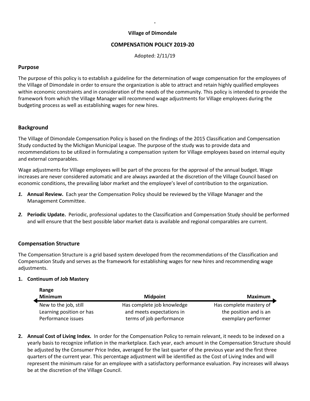#### **Village of Dimondale**

**.** 

#### **COMPENSATION POLICY 2019-20**

Adopted: 2/11/19

#### **Purpose**

The purpose of this policy is to establish a guideline for the determination of wage compensation for the employees of the Village of Dimondale in order to ensure the organization is able to attract and retain highly qualified employees within economic constraints and in consideration of the needs of the community. This policy is intended to provide the framework from which the Village Manager will recommend wage adjustments for Village employees during the budgeting process as well as establishing wages for new hires.

#### **Background**

The Village of Dimondale Compensation Policy is based on the findings of the 2015 Classification and Compensation Study conducted by the Michigan Municipal League. The purpose of the study was to provide data and recommendations to be utilized in formulating a compensation system for Village employees based on internal equity and external comparables.

Wage adjustments for Village employees will be part of the process for the approval of the annual budget. Wage increases are never considered automatic and are always awarded at the discretion of the Village Council based on economic conditions, the prevailing labor market and the employee's level of contribution to the organization.

- *1.* **Annual Review.**Each year the Compensation Policy should be reviewed by the Village Manager and the Management Committee.
- *2.* **Periodic Update.** Periodic, professional updates to the Classification and Compensation Study should be performed and will ensure that the best possible labor market data is available and regional comparables are current.

#### **Compensation Structure**

The Compensation Structure is a grid based system developed from the recommendations of the Classification and Compensation Study and serves as the framework for establishing wages for new hires and recommending wage adjustments.

#### **1. Continuum of Job Mastery**

| Range                    |                            |                         |
|--------------------------|----------------------------|-------------------------|
| <b>Minimum</b>           | <b>Midpoint</b>            | Maximum                 |
| New to the job, still    | Has complete job knowledge | Has complete mastery of |
| Learning position or has | and meets expectations in  | the position and is an  |
| Performance issues       | terms of job performance   | exemplary performer     |

**2. Annual Cost of Living Index.**In order for the Compensation Policy to remain relevant, it needs to be indexed on a yearly basis to recognize inflation in the marketplace. Each year, each amount in the Compensation Structure should be adjusted by the Consumer Price Index, averaged for the last quarter of the previous year and the first three quarters of the current year. This percentage adjustment will be identified as the Cost of Living Index and will represent the minimum raise for an employee with a satisfactory performance evaluation. Pay increases will always be at the discretion of the Village Council.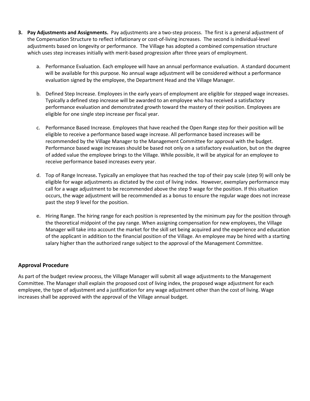- **3. Pay Adjustments and Assignments.**Pay adjustments are a two-step process. The first is a general adjustment of the Compensation Structure to reflect inflationary or cost-of-living increases. The second is individual-level adjustments based on longevity or performance. The Village has adopted a combined compensation structure which uses step increases initially with merit-based progression after three years of employment.
	- a. Performance Evaluation. Each employee will have an annual performance evaluation. A standard document will be available for this purpose. No annual wage adjustment will be considered without a performance evaluation signed by the employee, the Department Head and the Village Manager.
	- b. Defined Step Increase. Employees in the early years of employment are eligible for stepped wage increases. Typically a defined step increase will be awarded to an employee who has received a satisfactory performance evaluation and demonstrated growth toward the mastery of their position. Employees are eligible for one single step increase per fiscal year.
	- c. Performance Based Increase. Employees that have reached the Open Range step for their position will be eligible to receive a performance based wage increase. All performance based increases will be recommended by the Village Manager to the Management Committee for approval with the budget. Performance based wage increases should be based not only on a satisfactory evaluation, but on the degree of added value the employee brings to the Village. While possible, it will be atypical for an employee to receive performance based increases every year.
	- d. Top of Range Increase*.* Typically an employee that has reached the top of their pay scale (step 9) will only be eligible for wage adjustments as dictated by the cost of living index. However, exemplary performance may call for a wage adjustment to be recommended above the step 9 wage for the position. If this situation occurs, the wage adjustment will be recommended as a bonus to ensure the regular wage does not increase past the step 9 level for the position.
	- e. Hiring Range. The hiring range for each position is represented by the minimum pay for the position through the theoretical midpoint of the pay range. When assigning compensation for new employees, the Village Manager will take into account the market for the skill set being acquired and the experience and education of the applicant in addition to the financial position of the Village. An employee may be hired with a starting salary higher than the authorized range subject to the approval of the Management Committee.

#### **Approval Procedure**

As part of the budget review process, the Village Manager will submit all wage adjustments to the Management Committee. The Manager shall explain the proposed cost of living index, the proposed wage adjustment for each employee, the type of adjustment and a justification for any wage adjustment other than the cost of living. Wage increases shall be approved with the approval of the Village annual budget.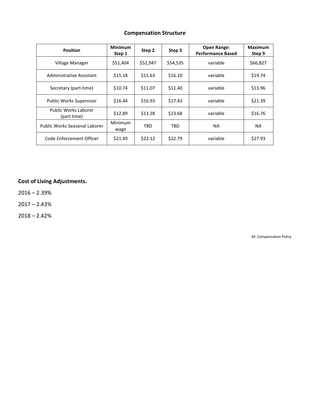#### **Compensation Structure**

| <b>Position</b>                     | <b>Minimum</b><br>Step 1 | Step 2     | Step 3     | <b>Open Range:</b><br><b>Performance Based</b> | Maximum<br>Step 9 |
|-------------------------------------|--------------------------|------------|------------|------------------------------------------------|-------------------|
| Village Manager                     | \$51,404                 | \$52,947   | \$54,535   | variable                                       | \$66,827          |
| Administrative Assistant            | \$15.18                  | \$15.63    | \$16.10    | variable                                       | \$19.74           |
| Secretary (part-time)               | \$10.74                  | \$11.07    | \$11.40    | variable                                       | \$13.96           |
| <b>Public Works Supervisor</b>      | \$16.44                  | \$16.93    | \$17.43    | variable                                       | \$21.39           |
| Public Works Laborer<br>(part time) | \$12.89                  | \$13.28    | \$13.68    | variable                                       | \$16.76           |
| Public Works Seasonal Laborer       | Minimum<br>wage          | <b>TBD</b> | <b>TBD</b> | <b>NA</b>                                      | <b>NA</b>         |
| Code Enforcement Officer            | \$21.49                  | \$22.12    | \$22.79    | variable                                       | \$27.93           |

#### **Cost of Living Adjustments.**

 $2016 - 2.39%$ 

2017 – 2.43%

 $2018 - 2.42%$ 

M: Compensation Policy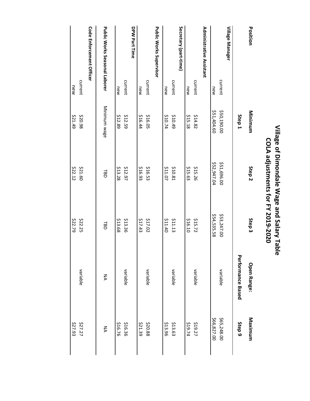| Position                             |         | Minimum           | Step <sub>2</sub> | Step 3      | <b>Open Range:</b>       | Maximum           |
|--------------------------------------|---------|-------------------|-------------------|-------------|--------------------------|-------------------|
|                                      |         | Step <sub>1</sub> |                   |             | <b>Performance Based</b> | Step <sub>9</sub> |
| Village Manager                      |         |                   |                   |             |                          |                   |
|                                      | current | \$50,190.00       | \$51,696.00       | \$53,247.00 | variable                 | \$65,248.00       |
|                                      | new     | \$51,404.60       | 552,947.04        | \$54,535.58 |                          | \$66,827.00       |
| <b>Administrative Assistant</b>      |         |                   |                   |             |                          |                   |
|                                      | current | \$14.82           | \$15.26           | \$15.72     | variable                 | \$19.27           |
|                                      | new     | \$15.18           | \$15.63           | \$16.10     |                          | <b>479.74</b>     |
| Secretary (part-time)                |         |                   |                   |             |                          |                   |
|                                      | current | <b>\$10.49</b>    | \$10.81           | \$11.13     | variable                 | \$13.63           |
|                                      | new     | \$10.74           | <b>\$11.07</b>    | 07.11\$     |                          | \$13.96           |
| <b>Public Works Supervisor</b>       |         |                   |                   |             |                          |                   |
|                                      | current | \$16.05           | \$16.53           | \$17.02     | variable                 | \$20.88           |
|                                      | new     | \$16.44           | \$16.93           | \$17.43     |                          | \$21.39           |
| DPW Part Time                        |         |                   |                   |             |                          |                   |
|                                      | current | \$12.59           | \$12.97           | \$13.36     | variable                 | \$16.36           |
|                                      | new     | \$12.89           | \$13.28           | \$13.68     |                          | \$16.76           |
| <b>Public Works Seasonal Laborer</b> |         | Minimum wage      | <b>TBD</b>        | <b>TBD</b>  | λA                       | ŠΣ                |
| <b>Code Enforcement Officer</b>      |         |                   |                   |             |                          |                   |
|                                      | current | \$20.98           | \$21.60           | \$22.25     | variable                 | \$27.27           |
|                                      | new     | <b>67.1.49</b>    | \$22.12           | \$22.79     |                          | \$27.93           |

# Village of Dimondale Wage and Salary Table **Village of Dimondale Wage and Salary Table** COLA adjustments for FY 2019-2020 **COLA adjustments for FY 2019-2020**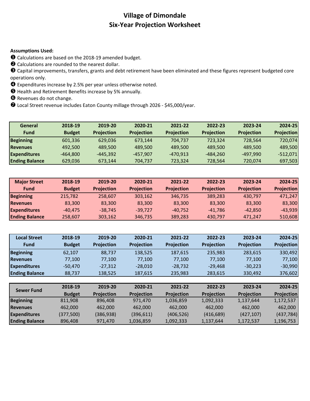#### **Village of Dimondale Six-Year Projection Worksheet**

#### **Assumptions Used:**

Calculations are based on the 2018-19 amended budget.

Calculations are rounded to the nearest dollar.

 Capital improvements, transfers, grants and debt retirement have been eliminated and these figures represent budgeted core operations only.

Expenditures increase by 2.5% per year unless otherwise noted.

Health and Retirement Benefits increase by 5% annually.

**O** Revenues do not change.

Local Street revenue includes Eaton County millage through 2026 - \$45,000/year.

| General               | 2018-19       | 2019-20           | 2020-21           | 2021-22           | 2022-23           | 2023-24           | 2024-25           |
|-----------------------|---------------|-------------------|-------------------|-------------------|-------------------|-------------------|-------------------|
| Fund                  | <b>Budget</b> | <b>Projection</b> | <b>Projection</b> | <b>Projection</b> | <b>Projection</b> | <b>Projection</b> | <b>Projection</b> |
| <b>Beginning</b>      | 601,336       | 629.036           | 673,144           | 704.737           | 723.324           | 728.564           | 720,074           |
| <b>Revenues</b>       | 492,500       | 489,500           | 489,500           | 489,500           | 489,500           | 489.500           | 489,500           |
| <b>Expenditures</b>   | $-464,800$    | $-445,392$        | $-457.907$        | $-470,913$        | -484,260          | -497.990          | $-512,071$        |
| <b>Ending Balance</b> | 629,036       | 673,144           | 704,737           | 723,324           | 728,564           | 720.074           | 697,503           |

| <b>Major Street</b>   | 2018-19       | 2019-20           | 2020-21           | 2021-22           | 2022-23           | 2023-24           | 2024-25           |
|-----------------------|---------------|-------------------|-------------------|-------------------|-------------------|-------------------|-------------------|
| <b>Fund</b>           | <b>Budget</b> | <b>Projection</b> | <b>Projection</b> | <b>Projection</b> | <b>Projection</b> | <b>Projection</b> | <b>Projection</b> |
| <b>Beginning</b>      | 215.782       | 258.607           | 303.162           | 346.735           | 389.283           | 430.797           | 471,247           |
| <b>Revenues</b>       | 83.300        | 83,300            | 83.300            | 83,300            | 83,300            | 83,300            | 83,300            |
| <b>Expenditures</b>   | $-40.475$     | $-38.745$         | -39.727           | $-40.752$         | $-41.786$         | $-42.850$         | $-43.939$         |
| <b>Ending Balance</b> | 258.607       | 303.162           | 346.735           | 389.283           | 430.797           | 471.247           | 510,608           |

| <b>Local Street</b>   | 2018-19       | 2019-20    | 2020-21    | 2021-22    | 2022-23    | 2023-24    | 2024-25           |
|-----------------------|---------------|------------|------------|------------|------------|------------|-------------------|
| Fund                  | <b>Budget</b> | Projection | Projection | Projection | Projection | Projection | <b>Projection</b> |
| <b>Beginning</b>      | 62,107        | 88,737     | 138,525    | 187,615    | 235,983    | 283,615    | 330,492           |
| <b>Revenues</b>       | 77.100        | 77.100     | 77.100     | 77.100     | 77.100     | 77.100     | 77,100            |
| <b>Expenditures</b>   | $-50,470$     | $-27,312$  | $-28,010$  | $-28,732$  | $-29,468$  | $-30,223$  | $-30,990$         |
| <b>Ending Balance</b> | 88,737        | 138,525    | 187,615    | 235,983    | 283,615    | 330,492    | 376,602           |
|                       |               |            |            |            |            |            |                   |
| <b>Sewer Fund</b>     | 2018-19       | 2019-20    | 2020-21    | 2021-22    | 2022-23    | 2023-24    | 2024-25           |
|                       | <b>Budget</b> | Projection | Projection | Projection | Projection | Projection | Projection        |
| <b>Beginning</b>      | 811,908       | 896,408    | 971,470    | 1,036,859  | 1,092,333  | 1,137,644  | 1,172,537         |
| <b>Revenues</b>       | 462.000       | 462.000    | 462.000    | 462.000    | 462.000    | 462.000    | 462,000           |
| <b>Expenditures</b>   | (377,500)     | (386, 938) | (396, 611) | (406, 526) | (416, 689) | (427, 107) | (437, 784)        |
| <b>Ending Balance</b> | 896,408       | 971,470    | 1,036,859  | 1,092,333  | 1,137,644  | 1,172,537  | 1,196,753         |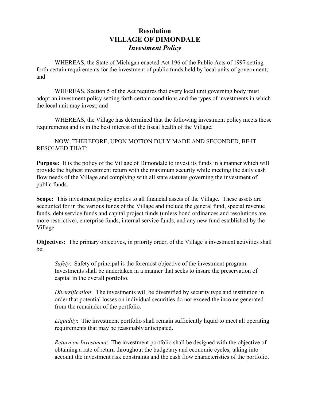#### **Resolution VILLAGE OF DIMONDALE** *Investment Policy*

WHEREAS, the State of Michigan enacted Act 196 of the Public Acts of 1997 setting forth certain requirements for the investment of public funds held by local units of government; and

WHEREAS, Section 5 of the Act requires that every local unit governing body must adopt an investment policy setting forth certain conditions and the types of investments in which the local unit may invest; and

WHEREAS, the Village has determined that the following investment policy meets those requirements and is in the best interest of the fiscal health of the Village;

NOW, THEREFORE, UPON MOTION DULY MADE AND SECONDED, BE IT RESOLVED THAT:

**Purpose:** It is the policy of the Village of Dimondale to invest its funds in a manner which will provide the highest investment return with the maximum security while meeting the daily cash flow needs of the Village and complying with all state statutes governing the investment of public funds.

**Scope:** This investment policy applies to all financial assets of the Village. These assets are accounted for in the various funds of the Village and include the general fund, special revenue funds, debt service funds and capital project funds (unless bond ordinances and resolutions are more restrictive), enterprise funds, internal service funds, and any new fund established by the Village.

**Objectives:** The primary objectives, in priority order, of the Village's investment activities shall be:

*Safety*: Safety of principal is the foremost objective of the investment program. Investments shall be undertaken in a manner that seeks to insure the preservation of capital in the overall portfolio.

*Diversification*: The investments will be diversified by security type and institution in order that potential losses on individual securities do not exceed the income generated from the remainder of the portfolio.

*Liquidity*: The investment portfolio shall remain sufficiently liquid to meet all operating requirements that may be reasonably anticipated.

*Return on Investment*: The investment portfolio shall be designed with the objective of obtaining a rate of return throughout the budgetary and economic cycles, taking into account the investment risk constraints and the cash flow characteristics of the portfolio.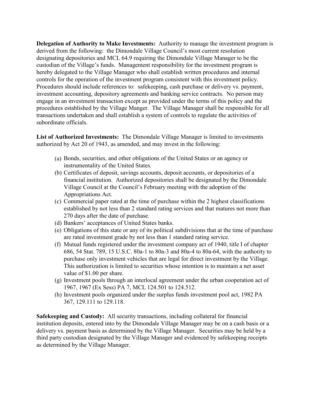**Delegation of Authority to Make Investments:** Authority to manage the investment program is derived from the following: the Dimondale Village Council's most current resolution designating depositories and MCL 64.9 requiring the Dimondale Village Manager to be the custodian of the Village's funds. Management responsibility for the investment program is hereby delegated to the Village Manager who shall establish written procedures and internal controls for the operation of the investment program consistent with this investment policy. Procedures should include references to: safekeeping, cash purchase or delivery vs. payment, investment accounting, depository agreements and banking service contracts. No person may engage in an investment transaction except as provided under the terms of this policy and the procedures established by the Village Manger. The Village Manager shall be responsible for all transactions undertaken and shall establish a system of controls to regulate the activities of subordinate officials.

**List of Authorized Investments:** The Dimondale Village Manager is limited to investments authorized by Act 20 of 1943, as amended, and may invest in the following:

- (a) Bonds, securities, and other obligations of the United States or an agency or instrumentality of the United States.
- (b) Certificates of deposit, savings accounts, deposit accounts, or depositories of a financial institution. Authorized depositories shall be designated by the Dimondale Village Council at the Council's February meeting with the adoption of the Appropriations Act.
- (c) Commercial paper rated at the time of purchase within the 2 highest classifications established by not less than 2 standard rating services and that matures not more than 270 days after the date of purchase.
- (d) Bankers' acceptances of United States banks.
- (e) Obligations of this state or any of its political subdivisions that at the time of purchase are rated investment grade by not less than 1 standard rating service.
- (f) Mutual funds registered under the investment company act of 1940, title I of chapter 686, 54 Stat. 789, 15 U.S.C. 80a-1 to 80a-3 and 80a-4 to 80a-64, with the authority to purchase only investment vehicles that are legal for direct investment by the Village. This authorization is limited to securities whose intention is to maintain a net asset value of \$1.00 per share.
- (g) Investment pools through an interlocal agreement under the urban cooperation act of 1967, 1967 (Ex Sess) PA 7, MCL 124.501 to 124.512.
- (h) Investment pools organized under the surplus funds investment pool act, 1982 PA 367, 129.111 to 129.118.

**Safekeeping and Custody:** All security transactions, including collateral for financial institution deposits, entered into by the Dimondale Village Manager may be on a cash basis or a delivery vs. payment basis as determined by the Village Manager. Securities may be held by a third party custodian designated by the Village Manager and evidenced by safekeeping receipts as determined by the Village Manager.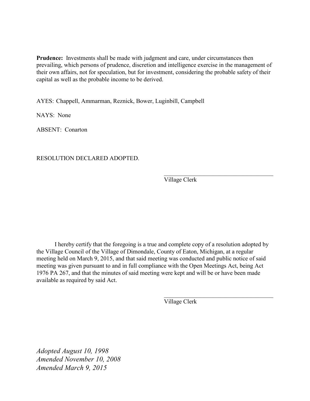**Prudence:** Investments shall be made with judgment and care, under circumstances then prevailing, which persons of prudence, discretion and intelligence exercise in the management of their own affairs, not for speculation, but for investment, considering the probable safety of their capital as well as the probable income to be derived.

AYES: Chappell, Ammarman, Reznick, Bower, Luginbill, Campbell

NAYS: None

ABSENT: Conarton

RESOLUTION DECLARED ADOPTED.

Village Clerk

 $\overline{\mathcal{L}}$  , and the set of the set of the set of the set of the set of the set of the set of the set of the set of the set of the set of the set of the set of the set of the set of the set of the set of the set of the s

 $\overline{\mathcal{L}}$  , and the set of the set of the set of the set of the set of the set of the set of the set of the set of the set of the set of the set of the set of the set of the set of the set of the set of the set of the s

I hereby certify that the foregoing is a true and complete copy of a resolution adopted by the Village Council of the Village of Dimondale, County of Eaton, Michigan, at a regular meeting held on March 9, 2015, and that said meeting was conducted and public notice of said meeting was given pursuant to and in full compliance with the Open Meetings Act, being Act 1976 PA 267, and that the minutes of said meeting were kept and will be or have been made available as required by said Act.

Village Clerk

*Adopted August 10, 1998 Amended November 10, 2008 Amended March 9, 2015*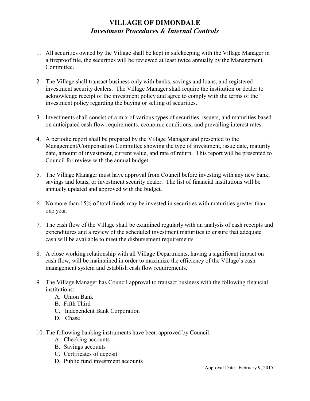#### **VILLAGE OF DIMONDALE** *Investment Procedures & Internal Controls*

- 1. All securities owned by the Village shall be kept in safekeeping with the Village Manager in a fireproof file, the securities will be reviewed at least twice annually by the Management Committee.
- 2. The Village shall transact business only with banks, savings and loans, and registered investment security dealers. The Village Manager shall require the institution or dealer to acknowledge receipt of the investment policy and agree to comply with the terms of the investment policy regarding the buying or selling of securities.
- 3. Investments shall consist of a mix of various types of securities, issuers, and maturities based on anticipated cash flow requirements, economic conditions, and prevailing interest rates.
- 4. A periodic report shall be prepared by the Village Manager and presented to the Management/Compensation Committee showing the type of investment, issue date, maturity date, amount of investment, current value, and rate of return. This report will be presented to Council for review with the annual budget.
- 5. The Village Manager must have approval from Council before investing with any new bank, savings and loans, or investment security dealer. The list of financial institutions will be annually updated and approved with the budget.
- 6. No more than 15% of total funds may be invested in securities with maturities greater than one year.
- 7. The cash flow of the Village shall be examined regularly with an analysis of cash receipts and expenditures and a review of the scheduled investment maturities to ensure that adequate cash will be available to meet the disbursement requirements.
- 8. A close working relationship with all Village Departments, having a significant impact on cash flow, will be maintained in order to maximize the efficiency of the Village's cash management system and establish cash flow requirements.
- 9. The Village Manager has Council approval to transact business with the following financial institutions:
	- A. Union Bank
	- B. Fifth Third
	- C. Independent Bank Corporation
	- D. Chase
- 10. The following banking instruments have been approved by Council:
	- A. Checking accounts
	- B. Savings accounts
	- C. Certificates of deposit
	- D. Public fund investment accounts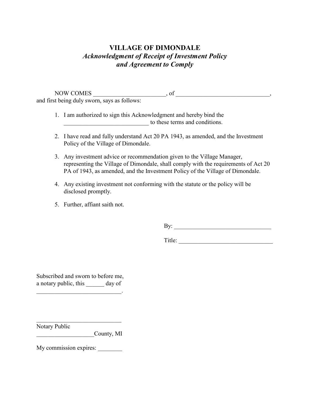#### **VILLAGE OF DIMONDALE** *Acknowledgment of Receipt of Investment Policy and Agreement to Comply*

NOW COMES \_\_\_\_\_\_\_\_\_\_\_\_\_\_\_\_\_\_\_\_\_\_\_\_, of \_\_\_\_\_\_\_\_\_\_\_\_\_\_\_\_\_\_\_\_\_\_\_\_\_\_\_\_\_\_\_, and first being duly sworn, says as follows:

1. I am authorized to sign this Acknowledgment and hereby bind the \_\_\_\_\_\_\_\_\_\_\_\_\_\_\_\_\_\_\_\_\_\_\_\_\_\_\_\_ to these terms and conditions.

- 2. I have read and fully understand Act 20 PA 1943, as amended, and the Investment Policy of the Village of Dimondale.
- 3. Any investment advice or recommendation given to the Village Manager, representing the Village of Dimondale, shall comply with the requirements of Act 20 PA of 1943, as amended, and the Investment Policy of the Village of Dimondale.
- 4. Any existing investment not conforming with the statute or the policy will be disclosed promptly.
- 5. Further, affiant saith not.

By:

Title: \_\_\_\_\_\_\_\_\_\_\_\_\_\_\_\_\_\_\_\_\_\_\_\_\_\_\_\_\_\_\_

Subscribed and sworn to before me, a notary public, this day of

 $\mathcal{L}_\text{max}$  , and the set of the set of the set of the set of the set of the set of the set of the set of the set of the set of the set of the set of the set of the set of the set of the set of the set of the set of the

 $\mathcal{L}_\text{max}$  , where  $\mathcal{L}_\text{max}$  , we have the set of the set of the set of the set of the set of the set of the set of the set of the set of the set of the set of the set of the set of the set of the set of the set of

Notary Public

\_\_\_\_\_\_\_\_\_\_\_\_\_\_\_\_\_\_\_County, MI

My commission expires: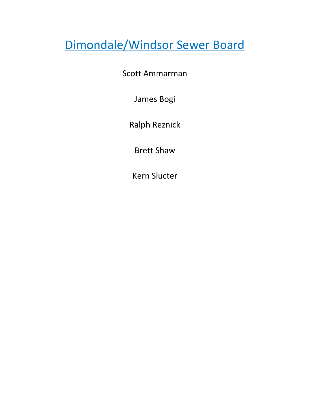### Dimondale/Windsor Sewer Board

Scott Ammarman

James Bogi

Ralph Reznick

Brett Shaw

Kern Slucter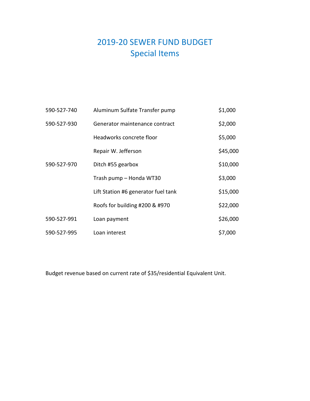### 2019-20 SEWER FUND BUDGET Special Items

| 590-527-740 | Aluminum Sulfate Transfer pump      | \$1,000  |
|-------------|-------------------------------------|----------|
| 590-527-930 | Generator maintenance contract      | \$2,000  |
|             | Headworks concrete floor            | \$5,000  |
|             | Repair W. Jefferson                 | \$45,000 |
| 590-527-970 | Ditch #55 gearbox                   | \$10,000 |
|             | Trash pump - Honda WT30             | \$3,000  |
|             | Lift Station #6 generator fuel tank | \$15,000 |
|             | Roofs for building #200 & #970      | \$22,000 |
| 590-527-991 | Loan payment                        | \$26,000 |
| 590-527-995 | Loan interest                       | \$7,000  |

Budget revenue based on current rate of \$35/residential Equivalent Unit.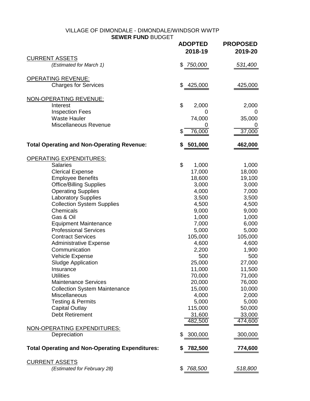#### VILLAGE OF DIMONDALE - DIMONDALE/WINDSOR WWTP **SEWER FUND** BUDGET

|                                                        | <b>ADOPTED</b><br>2018-19 | <b>PROPOSED</b><br>2019-20 |
|--------------------------------------------------------|---------------------------|----------------------------|
| <b>CURRENT ASSETS</b><br>(Estimated for March 1)       | 750,000<br>\$             | 531,400                    |
|                                                        |                           |                            |
| OPERATING REVENUE:<br><b>Charges for Services</b>      | 425,000<br>\$             | 425,000                    |
|                                                        |                           |                            |
| NON-OPERATING REVENUE:                                 | \$                        |                            |
| Interest<br><b>Inspection Fees</b>                     | 2,000<br>O                | 2,000<br>0                 |
| <b>Waste Hauler</b>                                    | 74,000                    | 35,000                     |
| Miscellaneous Revenue                                  |                           |                            |
|                                                        | \$<br>76,000              | 37,000                     |
| <b>Total Operating and Non-Operating Revenue:</b>      | 501,000                   | 462,000                    |
| OPERATING EXPENDITURES:                                |                           |                            |
| <b>Salaries</b>                                        | \$<br>1,000               | 1,000                      |
| <b>Clerical Expense</b>                                | 17,000                    | 18,000                     |
| <b>Employee Benefits</b>                               | 18,600                    | 19,100                     |
| <b>Office/Billing Supplies</b>                         | 3,000                     | 3,000                      |
| <b>Operating Supplies</b>                              | 4,000                     | 7,000                      |
| <b>Laboratory Supplies</b>                             | 3,500                     | 3,500                      |
| <b>Collection System Supplies</b>                      | 4,500                     | 4,500                      |
| Chemicals                                              | 9,000                     | 9,000                      |
| Gas & Oil                                              | 1,000                     | 1,000                      |
| <b>Equipment Maintenance</b>                           | 7,000                     | 6,000                      |
| <b>Professional Services</b>                           | 5,000                     | 5,000                      |
| <b>Contract Services</b>                               | 105,000                   | 105,000                    |
| <b>Administrative Expense</b>                          | 4,600                     | 4,600                      |
| Communication                                          | 2,200                     | 1,900                      |
| Vehicle Expense                                        | 500                       | 500                        |
| <b>Sludge Application</b>                              | 25,000                    | 27,000                     |
| Insurance<br><b>Utilities</b>                          | 11,000                    | 11,500                     |
| <b>Maintenance Services</b>                            | 70,000<br>20,000          | 71,000<br>76,000           |
| <b>Collection System Maintenance</b>                   | 15,000                    | 10,000                     |
| Miscellaneous                                          | 4,000                     | 2,000                      |
| <b>Testing &amp; Permits</b>                           | 5,000                     | 5,000                      |
| <b>Capital Outlay</b>                                  | 115,000                   | 50,000                     |
| <b>Debt Retirement</b>                                 | 31,600                    | 33,000                     |
|                                                        | 482,500                   | 474,600                    |
| NON-OPERATING EXPENDITURES:                            |                           |                            |
| Depreciation                                           | \$<br>300,000             | 300,000                    |
| <b>Total Operating and Non-Operating Expenditures:</b> | 782,500<br>æ.             | 774,600                    |
| <b>CURRENT ASSETS</b>                                  |                           |                            |
| (Estimated for February 28)                            | 768,500<br>\$             | 518,800                    |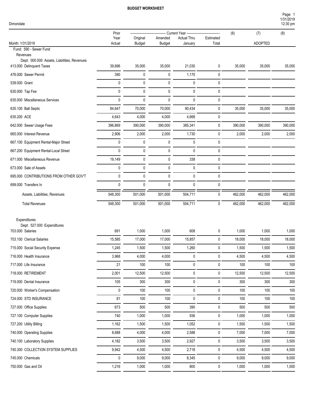Page: 1

| Dimondale |  |
|-----------|--|
|           |  |

| Dimondale                                                               |                |                           |                          |                               |                    |         |                | 1/31/2019<br>12:30 pm |
|-------------------------------------------------------------------------|----------------|---------------------------|--------------------------|-------------------------------|--------------------|---------|----------------|-----------------------|
|                                                                         | Prior          |                           |                          | Current Year ------------     |                    | (6)     | (7)            | (8)                   |
| Month: 1/31/2019                                                        | Year<br>Actual | Original<br><b>Budget</b> | Amended<br><b>Budget</b> | <b>Actual Thru</b><br>January | Estimated<br>Total |         | <b>ADOPTED</b> |                       |
| Fund: 590 - Sewer Fund<br>Revenues                                      |                |                           |                          |                               |                    |         |                |                       |
| Dept: 000.000 Assets, Liabilities, Revenues<br>413.000 Delinquent Taxes | 39,696         | 35,000                    | 35,000                   | 21,030                        | 0                  | 35,000  | 35,000         | 35,000                |
| 476.000 Sewer Permit                                                    | 390            | 0                         | 0                        | 1,170                         | 0                  |         |                |                       |
| 539.000 Grant                                                           | 0              | 0                         | 0                        | 0                             | 0                  |         |                |                       |
| 630.000 Tap Fee                                                         | 0              | 0                         | 0                        | 0                             | 0                  |         |                |                       |
| 635.000 Miscellaneous Services                                          | 0              | 0                         | 0                        | 0                             | 0                  |         |                |                       |
| 635.100 Ball Septic                                                     | 84,647         | 70,000                    | 70,000                   | 90,434                        | 0                  | 35,000  | 35,000         | 35,000                |
| 635.200 ACE                                                             | 4,643          | 4,000                     | 4,000                    | 4,668                         | 0                  |         |                |                       |
| 642.000 Sewer Usage Fees                                                | 396,869        | 390,000                   | 390,000                  | 385,341                       | 0                  | 390,000 | 390,000        | 390,000               |
| 665.000 Interest Revenue                                                | 2,906          | 2,000                     | 2,000                    | 1,730                         | 0                  | 2,000   | 2,000          | 2,000                 |
| 667.100 Equipment Rental-Major Street                                   | 0              | 0                         | 0                        | 0                             | 0                  |         |                |                       |
| 667.200 Equipment Rental-Local Street                                   | 0              | 0                         | 0                        | 0                             | 0                  |         |                |                       |
| 671.000 Miscellaneous Revenue                                           | 19,149         | 0                         | 0                        | 338                           | 0                  |         |                |                       |
| 673.000 Sale of Assets                                                  | 0              | 0                         | 0                        | 0                             | 0                  |         |                |                       |
| 695.000 CONTRIBUTIONS FROM OTHER GOV'T                                  | 0              | 0                         | 0                        | 0                             | 0                  |         |                |                       |
| 699.000 Transfers In                                                    | 0              | 0                         | 0                        | 0                             | 0                  |         |                |                       |
| Assets, Liabilities, Revenues                                           | 548,300        | 501,000                   | 501,000                  | 504,711                       | 0                  | 462,000 | 462,000        | 462,000               |
| <b>Total Revenues</b>                                                   | 548,300        | 501,000                   | 501,000                  | 504,711                       | 0                  | 462,000 | 462,000        | 462,000               |
|                                                                         |                |                           |                          |                               |                    |         |                |                       |
| Expenditures                                                            |                |                           |                          |                               |                    |         |                |                       |
| Dept: 527.000 Expenditures<br>703.000 Salaries                          | 691            | 1,000                     | 1,000                    | 608                           | 0                  | 1,000   | 1,000          | 1,000                 |
| 703.100 Clerical Salaries                                               | 15,585         | 17,000                    | 17,000                   | 15,857                        | 0                  | 18,000  | 18,000         | 18,000                |
| 715.000 Social Security Expense                                         | 1,245          | 1,500                     | 1,500                    | 1,260                         | $\pmb{0}$          | 1,500   | 1,500          | 1,500                 |
| 716.000 Health Insurance                                                | 3,968          | 4,000                     | 4,000                    | 0                             | 0                  | 4,500   | 4,500          | 4,500                 |
| 717.000 Life Insurance                                                  | 21             | 100                       | 100                      | 0                             | 0                  | 100     | 100            | 100                   |
| 718.000 RETIREMENT                                                      | 2,001          | 12,500                    | 12,500                   | 0                             | 0                  | 12,500  | 12,500         | 12,500                |
| 719.000 Dental Insurance                                                | 105            | 300                       | 300                      | 0                             | $\pmb{0}$          | 300     | 300            | 300                   |
| 720.000 Worker's Compensation                                           | 0              | 100                       | 100                      | 0                             | $\mathbf 0$        | 100     | 100            | 100                   |
| 724.000 STD INSURANCE                                                   | 81             | 100                       | 100                      | 0                             | 0                  | 100     | 100            | 100                   |
| 727.000 Office Supplies                                                 | 673            | 500                       | 500                      | 390                           | 0                  | 500     | 500            | 500                   |
| 727.100 Computer Supplies                                               | 740            | 1,000                     | 1,000                    | 936                           | $\pmb{0}$          | 1,000   | 1,000          | 1,000                 |
| 727.200 Utility Billing                                                 | 1,162          | 1,500                     | 1,500                    | 1,052                         | $\pmb{0}$          | 1,500   | 1,500          | 1,500                 |
| 740.000 Operating Supplies                                              | 8,688          | 4,000                     | 4,000                    | 2,588                         | $\pmb{0}$          | 7,000   | 7,000          | 7,000                 |
| 740.100 Laboratory Supplies                                             | 4,182          | 3,500                     | 3,500                    | 2,927                         | 0                  | 3,500   | 3,500          | 3,500                 |
| 740.300 COLLECTION SYSTEM SUPPLIES                                      | 9,942          | 4,500                     | 4,500                    | 2,718                         | $\pmb{0}$          | 4,500   | 4,500          | 4,500                 |
| 745.000 Chemicals                                                       | 0              | 9,000                     | 9,000                    | 8,345                         | $\pmb{0}$          | 9,000   | 9,000          | 9,000                 |
| 750.000 Gas and Oil                                                     | 1,216          | 1,000                     | 1,000                    | 800                           | 0                  | 1,000   | 1,000          | 1,000                 |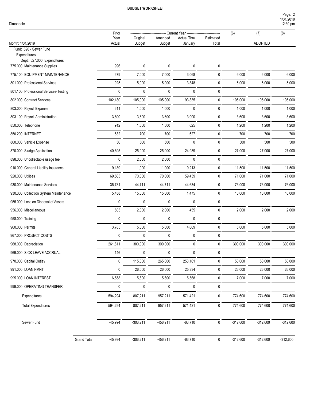| Dimondale |  |
|-----------|--|
|           |  |

|                                                            | Prior                     |             |               | Current Year ---   |           |            |                |            |
|------------------------------------------------------------|---------------------------|-------------|---------------|--------------------|-----------|------------|----------------|------------|
|                                                            | Year                      | Original    | Amended       | <b>Actual Thru</b> | Estimated | (6)        | (7)            | (8)        |
| Month: 1/31/2019<br>Fund: 590 - Sewer Fund                 | Actual                    | Budget      | <b>Budget</b> | January            | Total     |            | <b>ADOPTED</b> |            |
| Expenditures                                               |                           |             |               |                    |           |            |                |            |
| Dept: 527.000 Expenditures<br>775.000 Maintenance Supplies | 996                       | 0           | 0             | 0                  | 0         |            |                |            |
| 775.100 EQUIPMENT MAINTENANCE                              | 679                       | 7,000       | 7,000         | 3,068              | 0         | 6,000      | 6,000          | 6,000      |
|                                                            |                           |             |               |                    |           |            |                |            |
| 801.000 Professional Services                              | 925                       | 5,000       | 5,000         | 3,848              | 0         | 5,000      | 5,000          | 5,000      |
| 801.100 Professional Services-Testing                      | 0                         | $\mathbf 0$ | 0             | 0                  | 0         |            |                |            |
| 802.000 Contract Services                                  | 102,180                   | 105,000     | 105,000       | 93,835             | 0         | 105,000    | 105,000        | 105,000    |
| 803.000 Payroll Expense                                    | 611                       | 1,000       | 1,000         | 0                  | 0         | 1,000      | 1,000          | 1,000      |
| 803.100 Payroll Administration                             | 3,600                     | 3,600       | 3,600         | 3,000              | 0         | 3,600      | 3,600          | 3,600      |
| 850.000 Telephone                                          | 912                       | 1,500       | 1,500         | 625                | 0         | 1,200      | 1,200          | 1,200      |
| 850.200 INTERNET                                           | 632                       | 700         | 700           | 627                | 0         | 700        | 700            | 700        |
| 860.000 Vehicle Expense                                    | 36                        | 500         | 500           | $\mathbf 0$        | 0         | 500        | 500            | 500        |
| 870.000 Sludge Application                                 | 40,695                    | 25,000      | 25,000        | 24,989             | 0         | 27,000     | 27,000         | 27,000     |
| 898.000 Uncollectable usage fee                            | 0                         | 2,000       | 2,000         | 0                  | 0         |            |                |            |
| 910.000 General Liability Insurance                        | 9,189                     | 11,000      | 11,000        | 9,213              | 0         | 11,500     | 11,500         | 11,500     |
| 920.000 Utilities                                          | 69,565                    | 70,000      | 70,000        | 59,439             | 0         | 71,000     | 71,000         | 71,000     |
| 930.000 Maintenance Services                               | 35,731                    | 44,711      | 44,711        | 44,634             | 0         | 76,000     | 76,000         | 76,000     |
| 930.300 Collection System Maintenance                      | 5,438                     | 15,000      | 15,000        | 1,475              | 0         | 10,000     | 10,000         | 10,000     |
| 955.000 Loss on Disposal of Assets                         | 0                         | $\mathbf 0$ | 0             | 0                  | 0         |            |                |            |
| 956.000 Miscellaneous                                      | 505                       | 2,000       | 2,000         | 455                | 0         | 2,000      | 2,000          | 2,000      |
| 958.000 Training                                           | 0                         | $\mathbf 0$ | 0             | 0                  | 0         |            |                |            |
| 960.000 Permits                                            | 3,785                     | 5,000       | 5,000         | 4,669              | 0         | 5,000      | 5,000          | 5,000      |
| 967.000 PROJECT COSTS                                      | 0                         | 0           | 0             | 0                  | 0         |            |                |            |
| 968.000 Depreciation                                       | 261,811                   | 300,000     | 300,000       | 0                  | 0         | 300,000    | 300,000        | 300,000    |
| 969.000 SICK LEAVE ACCRUAL                                 | 146                       | $\pmb{0}$   | $\pmb{0}$     | $\pmb{0}$          | 0         |            |                |            |
| 970.000 Capital Outlay                                     | 0                         | 115,000     | 265,000       | 253,161            | 0         | 50,000     | 50,000         | 50,000     |
| 991.000 LOAN PMNT                                          | 0                         | 26,000      | 26,000        | 25,334             | 0         | 26,000     | 26,000         | 26,000     |
| 995.000 LOAN INTEREST                                      | 6,558                     | 5,600       | 5,600         | 5,568              | 0         | 7,000      | 7,000          | 7,000      |
| 999.000 OPERATING TRANSFER                                 | 0                         | 0           | $\mathsf{O}$  | $\mathbf 0$        | 0         |            |                |            |
| Expenditures                                               | 594,294                   | 807,211     | 957,211       | 571,421            | 0         | 774,600    | 774,600        | 774,600    |
|                                                            |                           |             |               |                    |           |            |                |            |
| <b>Total Expenditures</b>                                  | 594,294                   | 807,211     | 957,211       | 571,421            | 0         | 774,600    | 774,600        | 774,600    |
| Sewer Fund                                                 | $-45,994$                 | $-306,211$  | $-456,211$    | $-66,710$          | $\pmb{0}$ | $-312,600$ | $-312,600$     | $-312,600$ |
|                                                            | Grand Total:<br>$-45,994$ | $-306,211$  | $-456,211$    | $-66,710$          | 0         | $-312,600$ | $-312,600$     | $-312,600$ |
|                                                            |                           |             |               |                    |           |            |                |            |

1/31/2019 Page: 2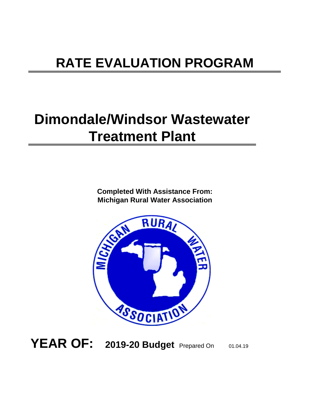### **RATE EVALUATION PROGRAM**

### **Dimondale/Windsor Wastewater Treatment Plant**

**Michigan Rural Water Association Completed With Assistance From:**



**YEAR OF: 2019-20 Budget** Prepared On 01.04.19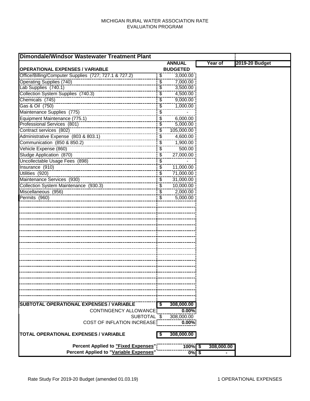#### MICHIGAN RURAL WATER ASSOCIATION RATE EVALUATION PROGRAM

| <b>Dimondale/Windsor Wastewater Treatment Plant</b>   |                          |                 |                   |                |
|-------------------------------------------------------|--------------------------|-----------------|-------------------|----------------|
|                                                       |                          | <b>ANNUAL</b>   | Year of           | 2019-20 Budget |
| <b>OPERATIONAL EXPENSES / VARIABLE</b>                |                          | <b>BUDGETED</b> |                   |                |
| Office/Billing/Computer Supplies (727; 727.1 & 727.2) | $\sqrt[6]{3}$            | 3,000.00        |                   |                |
| <b>Operating Supplies (740)</b>                       | $\overline{\$}$          | 7,000.00        |                   |                |
| Lab Supplies (740.1)                                  | $\overline{\$}$          | 3,500.00        |                   |                |
| Collection System Supplies (740.3)                    | \$                       | 4,500.00        |                   |                |
| Chemicals (745)                                       | \$                       | 9,000.00        |                   |                |
| Gas & Oil (750)                                       | \$                       | 1,000.00        |                   |                |
| Maintenance Supplies (775)                            | \$                       |                 |                   |                |
| Equipment Maintenance (775.1)                         | $\overline{\mathcal{S}}$ | 6,000.00        |                   |                |
| Professional Services (801)                           | \$                       | 5,000.00        |                   |                |
| Contract services (802)                               | \$                       | 105,000.00      |                   |                |
| Administrative Expense (803 & 803.1)                  | \$                       | 4,600.00        |                   |                |
| Communication (850 & 850.2)                           | \$                       | 1,900.00        |                   |                |
| Vehicle Expense (860)                                 | \$                       | 500.00          |                   |                |
| Sludge Application (870)                              | \$                       | 27,000.00       |                   |                |
| Uncollectable Usage Fees (898)                        | \$                       |                 |                   |                |
| Insurance (910)                                       | $\overline{\mathcal{S}}$ | 11,000.00       |                   |                |
| Utilities (920)                                       | \$                       | 71,000.00       |                   |                |
| Maintenance Services (930)                            | \$                       | 31,000.00       |                   |                |
| Collection System Maintenance (930.3)                 | $\overline{\$}$          | 10,000.00       |                   |                |
| Miscellaneous (956)                                   | $\overline{\$}$          | 2,000.00        |                   |                |
| Permits (960)                                         | $\overline{\mathcal{E}}$ | 5,000.00        |                   |                |
|                                                       |                          |                 |                   |                |
|                                                       |                          |                 |                   |                |
|                                                       |                          |                 |                   |                |
|                                                       |                          |                 |                   |                |
|                                                       |                          |                 |                   |                |
|                                                       |                          |                 |                   |                |
|                                                       |                          |                 |                   |                |
|                                                       |                          |                 |                   |                |
|                                                       |                          |                 |                   |                |
|                                                       |                          |                 |                   |                |
|                                                       |                          |                 |                   |                |
|                                                       |                          |                 |                   |                |
|                                                       |                          |                 |                   |                |
|                                                       |                          |                 |                   |                |
|                                                       |                          |                 |                   |                |
|                                                       |                          |                 |                   |                |
|                                                       |                          |                 |                   |                |
| <b>SUBTOTAL OPERATIONAL EXPENSES / VARIABLE</b>       |                          | 308,000.00      |                   |                |
| CONTINGENCY ALLOWANCE                                 |                          | 0.00%           |                   |                |
| SUBTOTAL \$                                           |                          | 308,000.00      |                   |                |
| COST OF INFLATION INCREASE                            |                          | $0.00\%$        |                   |                |
| <b>TOTAL OPERATIONAL EXPENSES / VARIABLE</b>          | \$                       | 308,000.00      |                   |                |
| <b>Percent Applied to "Fixed Expenses"</b>            |                          | 100%            | 308,000.00<br>-\$ |                |
| <b>Percent Applied to "Variable Expenses"</b>         |                          | 0%5             |                   |                |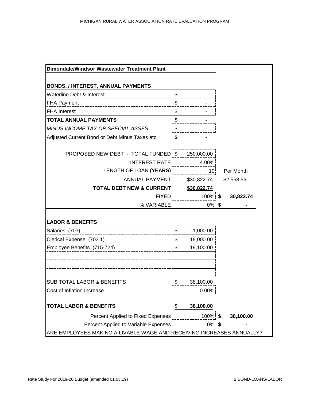| Dimondale/Windsor Wastewater Treatment Plant                          |       |             |            |
|-----------------------------------------------------------------------|-------|-------------|------------|
|                                                                       |       |             |            |
| <b>BONDS, / INTEREST, ANNUAL PAYMENTS</b>                             |       |             |            |
| Waterline Debt & Interest                                             | $\$\$ |             |            |
| <b>FHA Payment</b>                                                    | \$    |             |            |
| <b>FHA Interest</b>                                                   | \$    |             |            |
| <b>TOTAL ANNUAL PAYMENTS</b>                                          | \$    |             |            |
| <b>MINUS INCOME TAX OR SPECIAL ASSES.</b>                             | \$    |             |            |
| Adjusted Current Bond or Debt Minus Taxes etc.                        | \$    |             |            |
| PROPOSED NEW DEBT - TOTAL FUNDED: \$250,000.00                        |       |             |            |
| INTEREST RATE                                                         |       | 4.00%       |            |
| LENGTH OF LOAN (YEARS)                                                |       | $\sim$ 10   | Per Month  |
| ANNUAL PAYMENT                                                        |       | \$30,822.74 | \$2,568.56 |
| TOTAL DEBT NEW & CURRENT \$30,822.74                                  |       |             |            |
| <b>FIXED</b>                                                          |       |             | 30,822.74  |
| % VARIABLE                                                            |       | $0\%$ \$    |            |
| <b>LABOR &amp; BENEFITS</b>                                           |       |             |            |
| Salaries (703)                                                        | \$    | 1,000.00    |            |
|                                                                       | \$    | 18,000.00   |            |
|                                                                       | \$    | 19,100.00   |            |
|                                                                       |       |             |            |
| <b>SUB TOTAL LABOR &amp; BENEFITS</b>                                 |       | 38,100.00   |            |
| Cost of Inflation Increase                                            |       | $0.00\%$    |            |
| <b>TOTAL LABOR &amp; BENEFITS</b>                                     |       | 38,100.00   |            |
| Percent Applied to Fixed Expenses                                     |       | 100% \$     | 38,100.00  |
| Percent Applied to Variable Expenses                                  |       | $0\%$ \$    |            |
| ARE EMPLOYEES MAKING A LIVABLE WAGE AND RECEIVING INCREASES ANNUALLY? |       |             |            |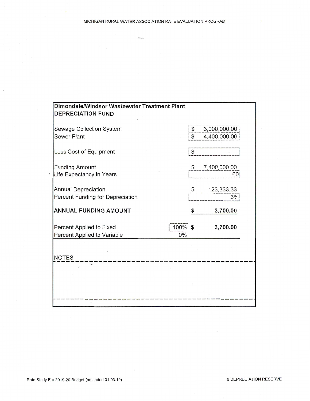$\mathcal{L}^{\text{max}}_{\text{max}}(\mathbf{r}_{i})$ 

| Dimondale/Windsor Wastewater Treatment Plant<br><b>DEPRECIATION FUND</b>    |                      |                              |
|-----------------------------------------------------------------------------|----------------------|------------------------------|
| Sewage Collection System<br><b>Sewer Plant</b>                              | $\mathfrak{S}$<br>\$ | 3,000,000.00<br>4,400,000.00 |
| Less Cost of Equipment                                                      | $\mathfrak{F}$       |                              |
| <b>Funding Amount</b><br>Life Expectancy in Years                           | \$                   | 7,400,000.00<br>60           |
| <b>Annual Depreciation</b><br>Percent Funding for Depreciation              | \$                   | 123,333.33<br>3%             |
| <b>ANNUAL FUNDING AMOUNT</b>                                                | \$                   | 3,700.00                     |
| $100\%$ \$<br>Percent Applied to Fixed<br>Percent Applied to Variable<br>0% |                      | 3,700.00                     |
|                                                                             |                      |                              |
| <b>NOTES</b><br>$\mathcal{F}(\mathbf{x},t)$                                 |                      |                              |
|                                                                             |                      |                              |
|                                                                             |                      |                              |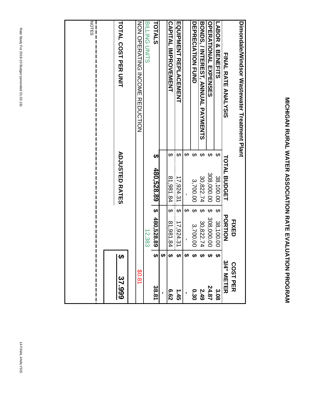|                     |                                          | <b>FIXED</b>                                                                                                      |                                            | <b>COST PER</b> |
|---------------------|------------------------------------------|-------------------------------------------------------------------------------------------------------------------|--------------------------------------------|-----------------|
| <b>TOTAL BUDGET</b> |                                          |                                                                                                                   |                                            | 3/4" METER      |
| ↔                   | ↔                                        | 38,100.00                                                                                                         |                                            | ပ္ပ<br>၁<br>၁   |
| $\Theta$            |                                          |                                                                                                                   | ₩                                          | 24.87           |
| ↔                   |                                          | 30,822.74                                                                                                         |                                            | 549             |
| ↔                   | ↔                                        | 3,700.00                                                                                                          |                                            | 03.0            |
| ക                   |                                          |                                                                                                                   |                                            |                 |
| ഗ                   | ക                                        | 17,924.3                                                                                                          |                                            | 1.45            |
| ↔                   | ക                                        | 81,981.84                                                                                                         |                                            | 79.9            |
|                     |                                          |                                                                                                                   | ക                                          |                 |
| ഗ                   | ↔                                        |                                                                                                                   | ఱ                                          | 38.81           |
|                     |                                          | 12,383                                                                                                            |                                            |                 |
|                     |                                          |                                                                                                                   |                                            | \$0.81          |
|                     |                                          |                                                                                                                   | H                                          | 37.999          |
|                     |                                          |                                                                                                                   |                                            |                 |
|                     | Dimondale Waster Andreif Treatment Plant | <b>ADJOSTED RATES</b><br>480,528.89<br>308,000.00<br>30,822.74<br>38,100.00<br>81,981.84<br>17,924.31<br>3,700.00 | <b>PORTION</b><br>480,528.89<br>308,000.00 |                 |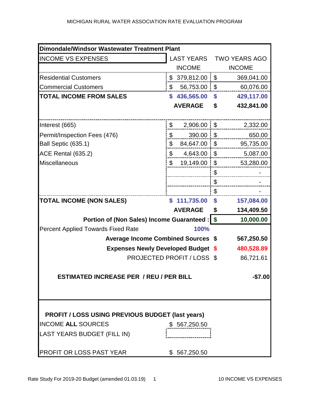| Dimondale/Windsor Wastewater Treatment Plant               |               |                          |    |                      |  |  |  |
|------------------------------------------------------------|---------------|--------------------------|----|----------------------|--|--|--|
| <b>INCOME VS EXPENSES</b>                                  |               | <b>LAST YEARS</b>        |    | <b>TWO YEARS AGO</b> |  |  |  |
|                                                            |               | <b>INCOME</b>            |    | <b>INCOME</b>        |  |  |  |
| <b>Residential Customers</b>                               |               | $$379,812.00 \text{ } $$ |    | 369,041.00           |  |  |  |
| <b>Commercial Customers</b>                                | \$            | $56,753.00$   \$         |    | 60,076.00            |  |  |  |
| <b>TOTAL INCOME FROM SALES</b>                             |               | \$436,565.00             | \$ | 429,117.00           |  |  |  |
|                                                            |               | <b>AVERAGE</b>           | \$ | 432,841.00           |  |  |  |
|                                                            |               |                          |    |                      |  |  |  |
| Interest (665)                                             | \$            | $2,906.00$   \$          |    | 2,332.00             |  |  |  |
| Permit/Inspection Fees (476)                               | \$            | $390.00$   \$            |    | 650.00               |  |  |  |
| Ball Septic (635.1)                                        | \$            | $84,647.00$ \ \ \$       |    | 95,735.00            |  |  |  |
| <b>ACE Rental (635.2)</b>                                  | \$            | $4,643.00$ \\$           |    | 5,087.00             |  |  |  |
| <b>Miscellaneous</b>                                       | $\mathfrak s$ | $19,149.00$   \$         |    | 53,280.00            |  |  |  |
|                                                            |               |                          | \$ |                      |  |  |  |
|                                                            |               |                          | \$ |                      |  |  |  |
|                                                            |               |                          | \$ |                      |  |  |  |
| <b>TOTAL INCOME (NON SALES)</b>                            | \$            | 111,735.00               | \$ | 157,084.00           |  |  |  |
|                                                            |               | <b>AVERAGE</b>           | \$ | 134,409.50           |  |  |  |
| Portion of (Non Sales) Income Guaranteed :   \$            |               | 10,000.00                |    |                      |  |  |  |
| <b>Percent Applied Towards Fixed Rate</b>                  |               |                          |    |                      |  |  |  |
| <b>Average Income Combined Sources \$</b>                  |               | 567,250.50               |    |                      |  |  |  |
| <b>Expenses Newly Developed Budget \$</b>                  |               | 480,528.89               |    |                      |  |  |  |
| <b>PROJECTED PROFIT / LOSS \$</b>                          |               | 86,721.61                |    |                      |  |  |  |
|                                                            |               |                          |    |                      |  |  |  |
| <b>ESTIMATED INCREASE PER / REU / PER BILL</b><br>$-$7.00$ |               |                          |    |                      |  |  |  |
|                                                            |               |                          |    |                      |  |  |  |
|                                                            |               |                          |    |                      |  |  |  |
|                                                            |               |                          |    |                      |  |  |  |
| <b>PROFIT / LOSS USING PREVIOUS BUDGET (last years)</b>    |               |                          |    |                      |  |  |  |
| <b>INCOME ALL SOURCES</b>                                  |               | \$567,250.50             |    |                      |  |  |  |
| LAST YEARS BUDGET (FILL IN)                                |               |                          |    |                      |  |  |  |
|                                                            |               |                          |    |                      |  |  |  |
| PROFIT OR LOSS PAST YEAR                                   |               | \$567,250.50             |    |                      |  |  |  |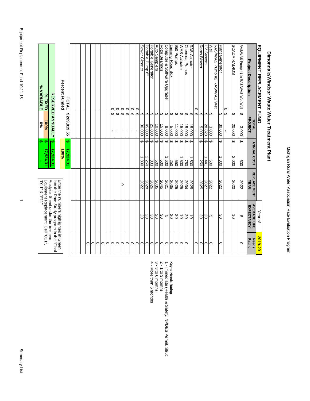**EQUIPMENT REPLACEMENT FUND**

**Dimondale/Windsor Waste Water Treatment Plant**

Dimondale/Windsor Waste Water Treatment Plant

Year of

**2019-20**

|                               | Equipment Replacement, Cell "C11",<br>"D11" & "F11"                            |                                   |                                   | $\%0$            | % VARIABLE                                       |
|-------------------------------|--------------------------------------------------------------------------------|-----------------------------------|-----------------------------------|------------------|--------------------------------------------------|
|                               |                                                                                |                                   | မှာ မှာ<br>17,924.31              | 100%             | % FIXED                                          |
|                               | Analysis Sheet under the line item<br>ind the Rate Study program in the "Final |                                   | ŧ٩<br>17,924.31                   |                  | RESERVED ANNUALLY                                |
|                               | Enter the numbers highlighted in Green                                         |                                   |                                   |                  |                                                  |
|                               |                                                                                |                                   | မာ<br>100%<br>17,924.31           | \$289,819.55     | Percent Funded<br>TOTAL                          |
|                               |                                                                                |                                   |                                   |                  |                                                  |
|                               |                                                                                |                                   |                                   |                  |                                                  |
|                               |                                                                                |                                   |                                   |                  |                                                  |
| 0                             |                                                                                |                                   |                                   |                  |                                                  |
| $\circ$                       |                                                                                |                                   |                                   |                  |                                                  |
| $\circ$                       |                                                                                |                                   |                                   |                  |                                                  |
| $\circ$                       |                                                                                |                                   |                                   |                  |                                                  |
| $\circ$                       |                                                                                |                                   |                                   |                  |                                                  |
| $\circ$                       |                                                                                |                                   |                                   | $\blacksquare$   | 0<br>↔                                           |
|                               |                                                                                |                                   |                                   | $\mathbf{r}$     | $\circ$<br>မာ                                    |
| $\circ$                       |                                                                                | 0                                 |                                   | $\blacksquare$   | $\circ$<br>↔                                     |
| $\circ$                       |                                                                                |                                   |                                   | $\blacksquare$   | $\circ$<br>↔                                     |
| $\circ$                       |                                                                                |                                   |                                   | r.               | $\circ$<br>↔                                     |
| $\circ$                       |                                                                                |                                   |                                   |                  | 0<br>↔                                           |
|                               | 20                                                                             | 2022                              | ↔<br>1,800                        | 36,000           | Sewer Cleaner<br>$\boldsymbol{\varphi}$          |
| $\circ$ $\circ$               | $\frac{30}{20}$                                                                | 2028                              | ⊷<br>2,250                        | 45,000           | Portable Pump 6"<br>$\boldsymbol{\varphi}$       |
|                               |                                                                                | 2026                              | ↔<br>833                          | 25,000           | Portable Generator<br>$\boldsymbol{\varphi}$     |
| $\circ$                       |                                                                                | 2035                              | ↔<br>800                          | 10,000           | Auto Samplers<br>↔                               |
| $\circ$                       |                                                                                | 2045                              | ↔<br>009                          | 15,000           | Rotor Bearings<br>$\boldsymbol{\epsilon}$        |
|                               | <b>잉잉이잉</b>                                                                    | 2021                              | $\boldsymbol{\varTheta}$<br>1,600 | 8,000            | Computer & Software Upgrade<br>$\Theta$          |
| $\circ$                       |                                                                                | 2035                              | မာမာ<br>250                       | 5,000            | ansing Road Box<br>$\Theta$                      |
|                               |                                                                                | 2025                              | 099                               | 11,000           | 950 Pumps<br>$\Theta$                            |
| $\circ$                       | $\vec{o}$                                                                      | 2025                              | ↮<br>1.500                        | 15,000           | <b>WAS Actuator</b><br>↔                         |
|                               | 20                                                                             | 2034                              | ↔<br>50                           | 15,000           | <b>Chemical Pumps</b><br>↔                       |
|                               | $\overline{5}$                                                                 | 2025                              | $\boldsymbol{\varphi}$<br>1,500   | 15,000           | RAS Actuator<br>$\Theta$                         |
| 0                             |                                                                                |                                   |                                   |                  | 0<br>↔                                           |
| $\circ$                       | 20                                                                             | 2025                              | ↮<br>250                          | O٦<br>000        | Roots Blower<br>$\boldsymbol{\varphi}$           |
| $\circ$                       | 20                                                                             | 2027                              | ↮<br>441                          | 28,820           | UV System<br>$\boldsymbol{\varphi}$              |
| $\circ$                       | c                                                                              | 2022                              | ↮<br>009                          | 3,000            | RAS/VAS Purnp #2 RAS/VAS Wet<br>Well<br>$\Theta$ |
| 0                             | ပ္တ                                                                            | 2022                              | ↔<br>$000^4$                      | 30,000           | Plant Generator<br>↔                             |
|                               |                                                                                |                                   |                                   |                  | $\circ$<br>$\boldsymbol{\varphi}$                |
|                               | $\vec{o}$                                                                      | 2020                              | ↔<br>2,000                        | 20,000           | <b>SCADA RADIOS</b><br>↔                         |
| $\circ$                       | C                                                                              | 2022                              | ↔<br>800                          | 3,000            | RAS/WAS Pump #1 in RAS/WAS Wet Well<br>$\bullet$ |
| <b>Rating</b><br><b>Needs</b> | <b>AVERAGE LIFE</b><br>EXPECTANCY                                              | <b>REPLACEMENT</b><br><b>YEAR</b> | <b>ANNUAL COST</b>                | PROJECT<br>TOTAL | <b>Project Description</b>                       |
|                               |                                                                                |                                   |                                   |                  |                                                  |

# Key to Needs Rating<br>1 - Immediate (Health & Safety, NPDES Permit, Struc<br>2 - 1 to 3 months<br>3 - 3 to 6 months<br>4 - More than 6 months 4 - More than 6 months 3 - 3 to 6 months 2 - 1 to 3 months **Key to Needs Rating**

1 - Immediate (Health & Safety, NPDES Permit, Structural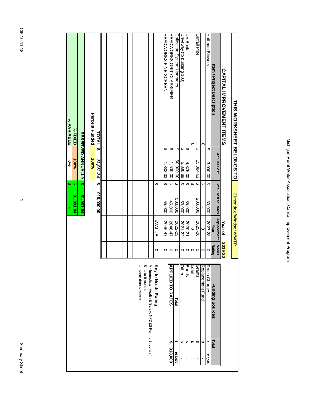| ۰. |
|----|
|    |
|    |
|    |
|    |
|    |
|    |
|    |
| î  |
|    |
|    |
|    |

 $\rightarrow$ 

| <b>THIS NORXSHEET BELONGS HO</b>  |          |                          |                         |                            | Dimondale/Windsor WWTP     |                        |                                                           |               |
|-----------------------------------|----------|--------------------------|-------------------------|----------------------------|----------------------------|------------------------|-----------------------------------------------------------|---------------|
| <b>CAPITAL IMPROVENENT ITEMS</b>  |          |                          |                         |                            | Year of                    | 2019-20                |                                                           |               |
| <b>Item / Project Description</b> |          | <b>Annual Cost</b>       |                         | <b>Total Cost to Rates</b> | <b>Replacement</b><br>Year | <b>Needs</b><br>Rating | <b>Funding Sources:</b>                                   | Total         |
| <b>Hoffman Blowers</b>            | ↔        | 3,000.00                 | $\overline{ }$          | 30,000                     | 2027-28                    | $\circ$                | Rates Charges                                             | th<br>918,000 |
|                                   | 0        |                          | $\Theta$                |                            | $\circ$                    | $\circ$                | Replacement Fund                                          | ↮             |
| Outfall Pipe                      | ↔        | 15,384.62                | $\leftrightarrow$       | 200,000                    | 2025-26                    | $\circ$                | <b>Grants</b>                                             | ↮             |
|                                   | c        |                          |                         |                            | $\circ$                    | $\circ$                | Loan                                                      | ↮             |
| UV Bank                           | $\Theta$ | 4,375.00                 |                         | 35,000                     | 2020-21                    | $\circ$                | Bonds                                                     | e             |
| Driveway (to building 100)        | ↔        | 5,888.89                 |                         | 53,000                     | 2021-22                    | $\circ$                | Other                                                     | ŧ٩            |
| Collection System Upgrades        | ↔        | 50,000.00                | $\overline{\mathbf{t}}$ | 500,000                    | 2022-23                    | $\circ$                | Total                                                     | မာ<br>918,000 |
| HEADWORKS GRIT CLASSIFIER         | ↔        | 00.003,                  | ↔                       | 45,000                     | 2046-47                    | 0                      | <b>APPLIED TO RATES</b>                                   | မာ<br>000'816 |
| HEADWORKS FINE SCREEN             | ↔        | 1.833.33                 | ↔                       | 55,000                     | 2046-47                    | $\circ$                |                                                           |               |
|                                   |          |                          | ↮                       | p                          | #VALUE!                    | 0                      | Key to Needs Rating                                       |               |
|                                   |          |                          |                         |                            |                            |                        | A - Immediate (Health & Safety, NPDES Permit, Structural) |               |
|                                   |          |                          |                         |                            |                            |                        | B-1 to 6 months                                           |               |
|                                   |          |                          |                         |                            |                            |                        | C - More than 6 months                                    |               |
|                                   |          |                          |                         |                            |                            |                        |                                                           |               |
|                                   |          |                          |                         |                            |                            |                        |                                                           |               |
|                                   |          |                          |                         |                            |                            |                        |                                                           |               |
|                                   |          |                          |                         |                            |                            |                        |                                                           |               |
|                                   |          |                          |                         |                            |                            |                        |                                                           |               |
| TOTAL                             | ↮        | 81,981.84                | ↮                       | 918,000.00                 |                            |                        |                                                           |               |
| Percent Funded                    |          | 100%                     |                         |                            |                            |                        |                                                           |               |
|                                   |          | <b>RESERVED ANNUALLY</b> | ĮЮ                      | 81,981.84                  |                            |                        |                                                           |               |
| % FIXED                           |          | $100\%$                  | မှာ မှာ                 | 81,981.84                  |                            |                        |                                                           |               |
| % VARIABLE                        |          | 9%                       |                         |                            |                            |                        |                                                           |               |
|                                   |          |                          |                         |                            |                            |                        |                                                           |               |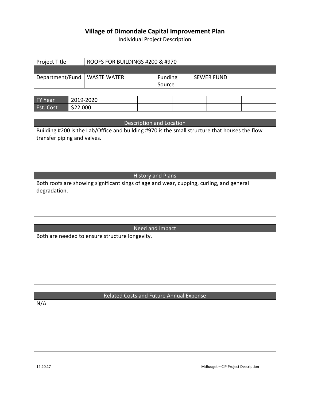Individual Project Description

| Project Title                 | ROOFS FOR BUILDINGS #200 & #970 |                |                   |
|-------------------------------|---------------------------------|----------------|-------------------|
|                               |                                 |                |                   |
| Department/Fund   WASTE WATER |                                 | <b>Funding</b> | <b>SEWER FUND</b> |
|                               |                                 | Source         |                   |

| <b>FY Year</b> | 2019-2020 |  |  |  |
|----------------|-----------|--|--|--|
| Est. Cost      | \$22,000  |  |  |  |

| Description and Location |  |  |
|--------------------------|--|--|
|--------------------------|--|--|

Building #200 is the Lab/Office and building #970 is the small structure that houses the flow transfer piping and valves.

History and Plans

Both roofs are showing significant sings of age and wear, cupping, curling, and general degradation.

Need and Impact

Both are needed to ensure structure longevity.

#### Related Costs and Future Annual Expense

N/A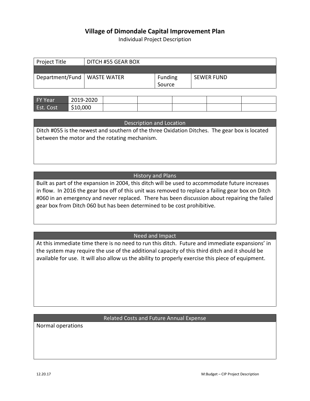Individual Project Description

| Project Title                 | DITCH #55 GEAR BOX |                |                   |
|-------------------------------|--------------------|----------------|-------------------|
|                               |                    |                |                   |
| Department/Fund   WASTE WATER |                    | <b>Funding</b> | <b>SEWER FUND</b> |
|                               |                    | Source         |                   |

| <b>FY Year</b>   | 2019-2020 |  |  |  |
|------------------|-----------|--|--|--|
| <b>Est. Cost</b> | \$10,000  |  |  |  |

Description and Location

Ditch #055 is the newest and southern of the three Oxidation Ditches. The gear box is located between the motor and the rotating mechanism.

#### History and Plans

Built as part of the expansion in 2004, this ditch will be used to accommodate future increases in flow. In 2016 the gear box off of this unit was removed to replace a failing gear box on Ditch #060 in an emergency and never replaced. There has been discussion about repairing the failed gear box from Ditch 060 but has been determined to be cost prohibitive.

#### Need and Impact

At this immediate time there is no need to run this ditch. Future and immediate expansions' in the system may require the use of the additional capacity of this third ditch and it should be available for use. It will also allow us the ability to properly exercise this piece of equipment.

#### Related Costs and Future Annual Expense

Normal operations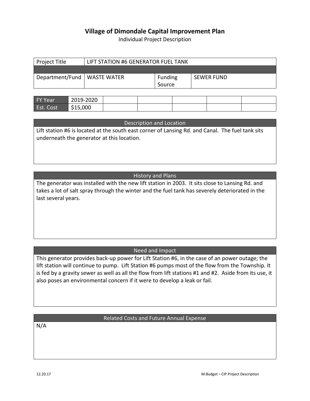Individual Project Description

| Project Title                 | LIFT STATION #6 GENERATOR FUEL TANK |         |                   |  |
|-------------------------------|-------------------------------------|---------|-------------------|--|
|                               |                                     |         |                   |  |
| Department/Fund   WASTE WATER |                                     | Funding | <b>SEWER FUND</b> |  |
|                               |                                     | Source  |                   |  |

| <b>FY Year</b>   | 2019-2020 |  |  |  |
|------------------|-----------|--|--|--|
| <b>Est. Cost</b> | \$15,000  |  |  |  |

| Description and Location |  |
|--------------------------|--|
|--------------------------|--|

Lift station #6 is located at the south east corner of Lansing Rd. and Canal. The fuel tank sits underneath the generator at this location.

#### History and Plans

The generator was installed with the new lift station in 2003. It sits close to Lansing Rd. and takes a lot of salt spray through the winter and the fuel tank has severely deteriorated in the last several years.

#### Need and Impact

This generator provides back-up power for Lift Station #6, in the case of an power outage; the lift station will continue to pump. Lift Station #6 pumps most of the flow from the Township. It is fed by a gravity sewer as well as all the flow from lift stations #1 and #2. Aside from its use, it also poses an environmental concern if it were to develop a leak or fail.

#### Related Costs and Future Annual Expense

N/A